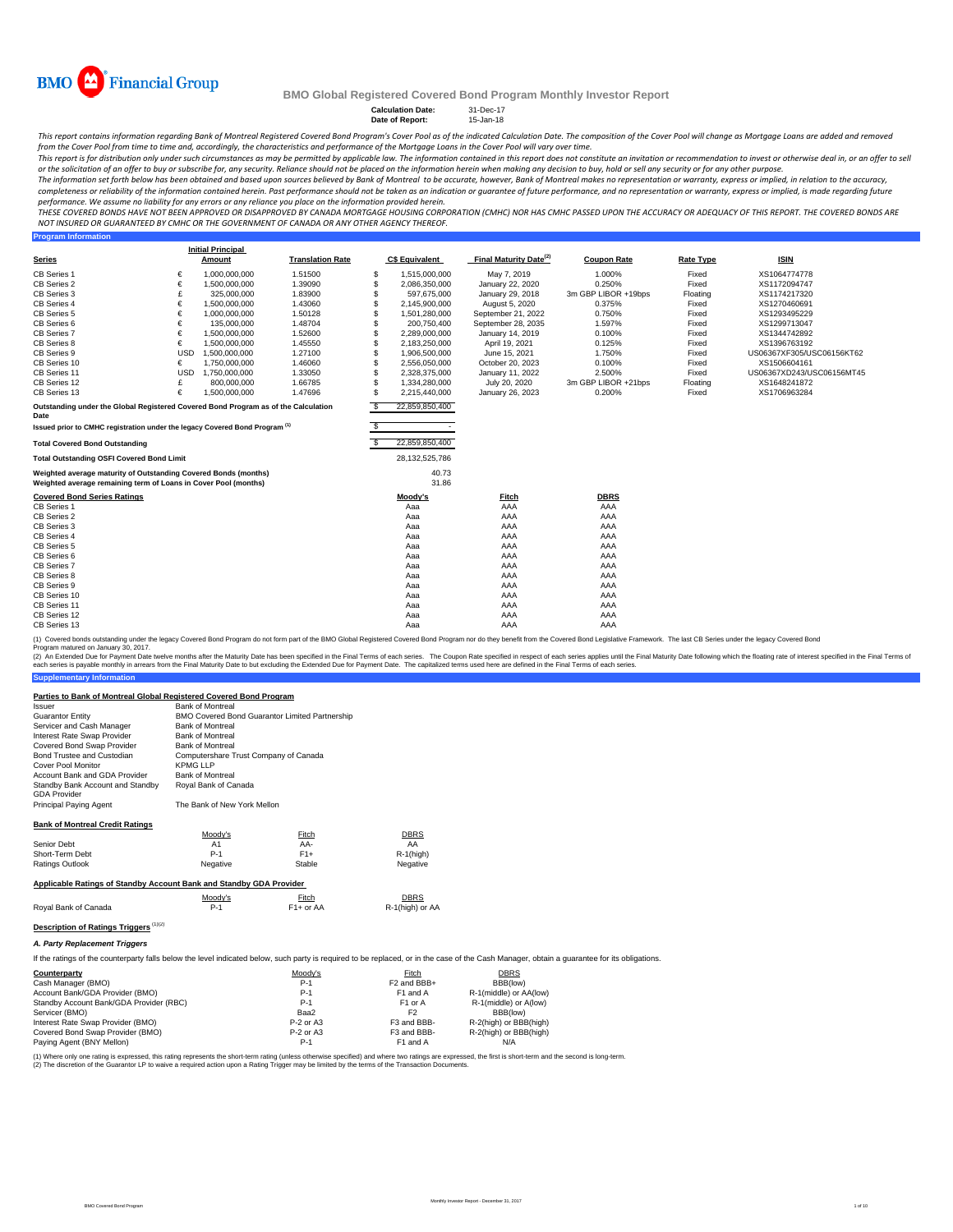

**Program Information**

#### **BMO Global Registered Covered Bond Program Monthly Investor Report**

## **Calculation Date:** 31-Dec-17 **Date of Report:** 15-Jan-18

This report contains information regarding Bank of Montreal Registered Covered Bond Program's Cover Pool as of the indicated Calculation Date. The composition of the Cover Pool will change as Mortgage Loans are added and r from the Cover Pool from time to time and, accordingly, the characteristics and performance of the Mortgage Loans in the Cover Pool will vary over time.

This report is for distribution only under such circumstances as may be permitted by applicable law. The information contained in this report does not constitute an invitation or recommendation to invest or otherwise deal

The information set forth below has been obtained and based upon sources believed by Bank of Montreal to be accurate, however, Bank of Montreal makes no representation or warranty, express or implied, in relation to the ac completeness or reliability of the information contained herein. Past performance should not be taken as an indication or guarantee of future performance, and no representation or warranty, express or implied, is made rega performance. We assume no liability for any errors or any reliance you place on the information provided herein.

THESE COVERED BONDS HAVE NOT BEEN APPROVED OR DISAPPROVED BY CANADA MORTGAGE HOUSING CORPORATION (CMHC) NOR HAS CMHC PASSED UPON THE ACCURACY OR ADEQUACY OF THIS REPORT. THE COVERED BONDS ARE<br>NOT INSURED OR GUARANTEED BY C

|                                                                                                                                    |            | <b>Initial Principal</b> |                         |     |                       |                                    |                     |                  |                           |
|------------------------------------------------------------------------------------------------------------------------------------|------------|--------------------------|-------------------------|-----|-----------------------|------------------------------------|---------------------|------------------|---------------------------|
| <b>Series</b>                                                                                                                      |            | Amount                   | <b>Translation Rate</b> |     | <b>C\$ Equivalent</b> | Final Maturity Date <sup>(2)</sup> | <b>Coupon Rate</b>  | <b>Rate Type</b> | <b>ISIN</b>               |
| CB Series 1                                                                                                                        | €          | 1,000,000,000            | 1.51500                 | S   | 1,515,000,000         | May 7, 2019                        | 1.000%              | Fixed            | XS1064774778              |
| CB Series 2                                                                                                                        | €          | 1,500,000,000            | 1.39090                 | S   | 2,086,350,000         | January 22, 2020                   | 0.250%              | Fixed            | XS1172094747              |
| CB Series 3                                                                                                                        | £          | 325.000.000              | 1.83900                 |     | 597.675.000           | January 29, 2018                   | 3m GBP LIBOR +19bps | Floating         | XS1174217320              |
| CB Series 4                                                                                                                        | €          | 1,500,000,000            | 1.43060                 |     | 2,145,900,000         | August 5, 2020                     | 0.375%              | Fixed            | XS1270460691              |
| CB Series 5                                                                                                                        | €          | 1,000,000,000            | 1.50128                 |     | 1,501,280,000         | September 21, 2022                 | 0.750%              | Fixed            | XS1293495229              |
| CB Series 6                                                                                                                        | €          | 135,000,000              | 1.48704                 |     | 200,750,400           | September 28, 2035                 | 1.597%              | Fixed            | XS1299713047              |
| CB Series 7                                                                                                                        | €          | 1.500.000.000            | 1.52600                 |     | 2,289,000,000         | January 14, 2019                   | 0.100%              | Fixed            | XS1344742892              |
| CB Series 8                                                                                                                        | €          | 1,500,000,000            | 1.45550                 |     | 2,183,250,000         | April 19, 2021                     | 0.125%              | Fixed            | XS1396763192              |
| CB Series 9                                                                                                                        | <b>USD</b> | 1,500,000,000            | 1.27100                 |     | 1,906,500,000         | June 15, 2021                      | 1.750%              | Fixed            | US06367XF305/USC06156KT62 |
| CB Series 10                                                                                                                       | €          | 1,750,000,000            | 1.46060                 |     | 2,556,050,000         | October 20, 2023                   | 0.100%              | Fixed            | XS1506604161              |
| CB Series 11                                                                                                                       | <b>USD</b> | 1,750,000,000            | 1.33050                 | S   | 2,328,375,000         | January 11, 2022                   | 2.500%              | Fixed            | US06367XD243/USC06156MT45 |
| CB Series 12                                                                                                                       |            | 800,000,000              | 1.66785                 | S   | 1,334,280,000         | July 20, 2020                      | 3m GBP LIBOR +21bps | Floating         | XS1648241872              |
| CB Series 13                                                                                                                       | €          | 1,500,000,000            | 1.47696                 | S   | 2,215,440,000         | January 26, 2023                   | 0.200%              | Fixed            | XS1706963284              |
| Outstanding under the Global Registered Covered Bond Program as of the Calculation<br>Date                                         |            |                          |                         | \$. | 22,859,850,400        |                                    |                     |                  |                           |
| Issued prior to CMHC registration under the legacy Covered Bond Program (1)                                                        |            |                          |                         |     |                       |                                    |                     |                  |                           |
| <b>Total Covered Bond Outstanding</b>                                                                                              |            |                          |                         | \$. | 22,859,850,400        |                                    |                     |                  |                           |
| <b>Total Outstanding OSFI Covered Bond Limit</b>                                                                                   |            |                          |                         |     | 28,132,525,786        |                                    |                     |                  |                           |
| Weighted average maturity of Outstanding Covered Bonds (months)<br>Weighted average remaining term of Loans in Cover Pool (months) |            |                          |                         |     | 40.73<br>31.86        |                                    |                     |                  |                           |
| <b>Covered Bond Series Ratings</b>                                                                                                 |            |                          |                         |     | Moody's               | Fitch                              | <b>DBRS</b>         |                  |                           |
| CB Series 1                                                                                                                        |            |                          |                         |     | Aaa                   | AAA                                | AAA                 |                  |                           |
| CB Series 2                                                                                                                        |            |                          |                         |     | Aaa                   | AAA                                | AAA                 |                  |                           |
| CB Series 3                                                                                                                        |            |                          |                         |     | Aaa                   | AAA                                | AAA                 |                  |                           |
| CB Series 4                                                                                                                        |            |                          |                         |     | Aaa                   | AAA                                | AAA                 |                  |                           |
| CB Series 5                                                                                                                        |            |                          |                         |     | Aaa                   | AAA                                | AAA                 |                  |                           |
| CB Series 6                                                                                                                        |            |                          |                         |     | Aaa                   | AAA                                | AAA                 |                  |                           |
| CB Series 7                                                                                                                        |            |                          |                         |     | Aaa                   | AAA                                | AAA                 |                  |                           |
| CB Series 8                                                                                                                        |            |                          |                         |     | Aaa                   | AAA                                | AAA                 |                  |                           |
| CB Series 9                                                                                                                        |            |                          |                         |     | Aaa                   | AAA                                | AAA                 |                  |                           |
| CB Series 10                                                                                                                       |            |                          |                         |     | Aaa                   | AAA                                | AAA                 |                  |                           |
| CB Series 11                                                                                                                       |            |                          |                         |     | Aaa                   | AAA                                | AAA                 |                  |                           |
| CB Series 12                                                                                                                       |            |                          |                         |     | Aaa                   | AAA                                | AAA                 |                  |                           |
| CB Series 13                                                                                                                       |            |                          |                         |     | Aaa                   | AAA                                | AAA                 |                  |                           |

(1) Covered bonds outstanding under the legacy Covered Bond Program do not form part of the BMO Global Registered Covered Bond Program nor do they benefit from the Covered Bond Legislative Framework. The last CB Series und Program matured on January 30, 2017.

(2) An Extended Due for Payment Date twelve months after the Maturity Date has been specified in the Final Terms of each series. The Coupon Rate specified in the Sinal Maturity Date tolet on the Final Maturity Date to but

#### **Parties to Bank of Montreal Global Registered Covered Bond Program**

| Issuer                                                  | <b>Bank of Montreal</b>                        |       |             |
|---------------------------------------------------------|------------------------------------------------|-------|-------------|
| <b>Guarantor Entity</b>                                 | BMO Covered Bond Guarantor Limited Partnership |       |             |
| Servicer and Cash Manager                               | <b>Bank of Montreal</b>                        |       |             |
| Interest Rate Swap Provider                             | <b>Bank of Montreal</b>                        |       |             |
| Covered Bond Swap Provider                              | <b>Bank of Montreal</b>                        |       |             |
| Bond Trustee and Custodian                              | Computershare Trust Company of Canada          |       |             |
| Cover Pool Monitor                                      | <b>KPMGLLP</b>                                 |       |             |
| Account Bank and GDA Provider                           | <b>Bank of Montreal</b>                        |       |             |
| Standby Bank Account and Standby<br><b>GDA Provider</b> | Roval Bank of Canada                           |       |             |
| Principal Paying Agent                                  | The Bank of New York Mellon                    |       |             |
| <b>Bank of Montreal Credit Ratings</b>                  |                                                |       |             |
|                                                         | Moody's                                        | Fitch | <b>DBRS</b> |

|                 |          | .      | ------       |
|-----------------|----------|--------|--------------|
| Senior Debt     | A1       | AA-    | AA           |
| Short-Term Debt | $P-1$    | $F1+$  | $R-1$ (high) |
| Ratings Outlook | Negative | Stable | Negative     |
|                 |          |        |              |

#### **Applicable Ratings of Standby Account Bank and Standby GDA Provider**

|                      | Moody's    | Fitch                  | <b>DBRS</b>     |
|----------------------|------------|------------------------|-----------------|
| Royal Bank of Canada | <b>P.1</b> | F <sub>1</sub> + or AA | R-1(high) or AA |
|                      |            |                        |                 |

## **Description of Ratings Triggers** (1)(2)

**Supplementary Information**

*A. Party Replacement Triggers*

If the ratings of the counterparty falls below the level indicated below, such party is required to be replaced, or in the case of the Cash Manager, obtain a guarantee for its obligations.

| Counterparty                            | Moody's     | Fitch                   | <b>DBRS</b>            |  |
|-----------------------------------------|-------------|-------------------------|------------------------|--|
| Cash Manager (BMO)                      | $P-1$       | F <sub>2</sub> and BBB+ | BBB(low)               |  |
| Account Bank/GDA Provider (BMO)         | $P-1$       | F1 and A                | R-1(middle) or AA(low) |  |
| Standby Account Bank/GDA Provider (RBC) | $P-1$       | F <sub>1</sub> or A     | R-1(middle) or A(low)  |  |
| Servicer (BMO)                          | Baa2        | F <sub>2</sub>          | BBB(low)               |  |
| Interest Rate Swap Provider (BMO)       | P-2 or A3   | F3 and BBB-             | R-2(high) or BBB(high) |  |
| Covered Bond Swap Provider (BMO)        | $P-2$ or A3 | F3 and BBB-             | R-2(high) or BBB(high) |  |
| Paying Agent (BNY Mellon)               | $P-1$       | F1 and A                | N/A                    |  |

(1) Where only one rating is expressed, this rating represents the short-term rating (unless otherwise specified) and where two ratings are expressed, the first is short-term and the second is long-term.<br>(2) The discretion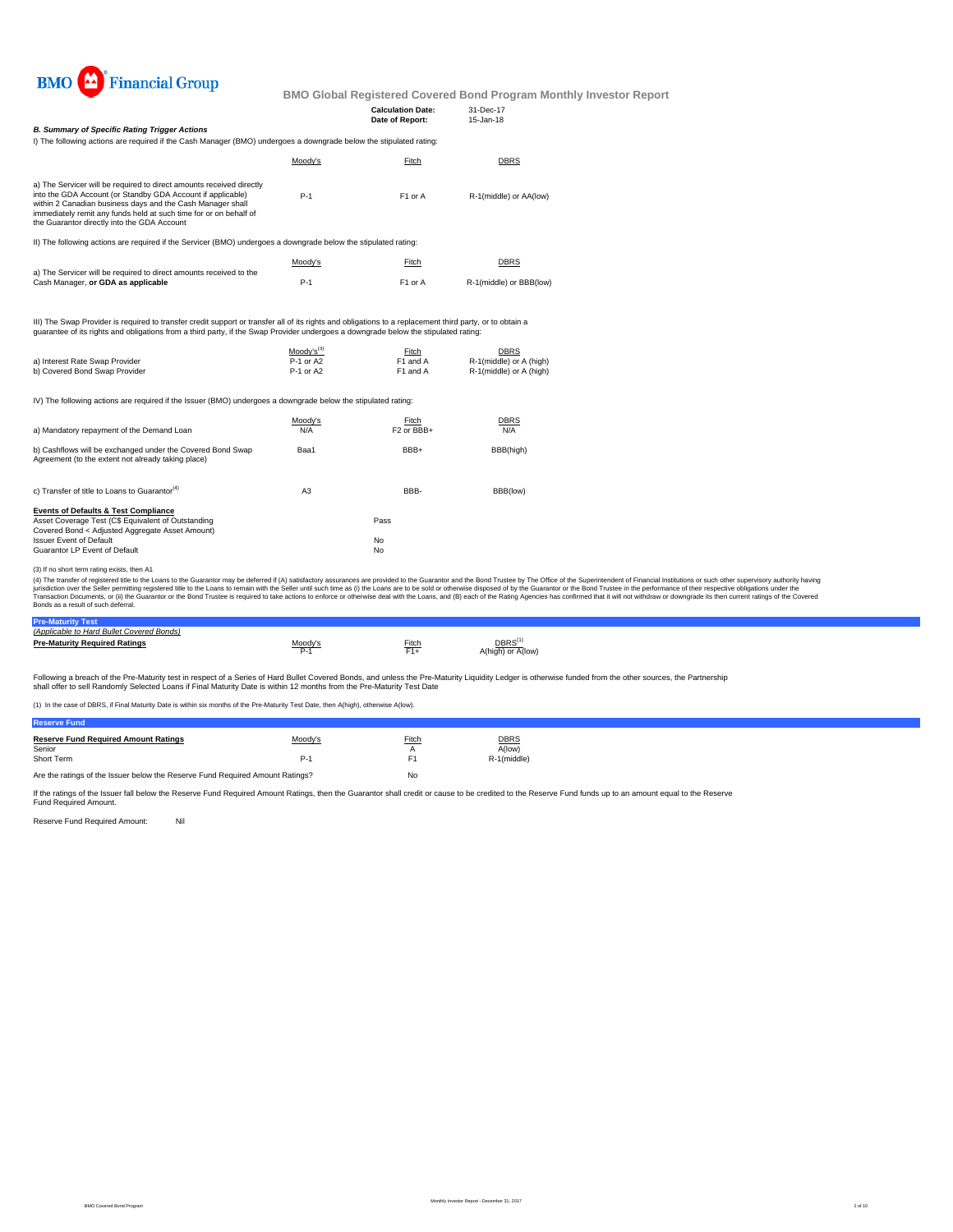

|                                                                                                                                                                                                                                                                                                                                     |                             | <b>Calculation Date:</b><br>Date of Report: | 31-Dec-17<br>15-Jan-18                             |                                                                                                                                                                                                                                                                                                                                                                                                                                                                  |
|-------------------------------------------------------------------------------------------------------------------------------------------------------------------------------------------------------------------------------------------------------------------------------------------------------------------------------------|-----------------------------|---------------------------------------------|----------------------------------------------------|------------------------------------------------------------------------------------------------------------------------------------------------------------------------------------------------------------------------------------------------------------------------------------------------------------------------------------------------------------------------------------------------------------------------------------------------------------------|
| <b>B. Summary of Specific Rating Trigger Actions</b><br>I) The following actions are required if the Cash Manager (BMO) undergoes a downgrade below the stipulated rating:                                                                                                                                                          |                             |                                             |                                                    |                                                                                                                                                                                                                                                                                                                                                                                                                                                                  |
|                                                                                                                                                                                                                                                                                                                                     | Moody's                     | Fitch                                       | <b>DBRS</b>                                        |                                                                                                                                                                                                                                                                                                                                                                                                                                                                  |
| a) The Servicer will be required to direct amounts received directly<br>into the GDA Account (or Standby GDA Account if applicable)<br>within 2 Canadian business days and the Cash Manager shall<br>immediately remit any funds held at such time for or on behalf of<br>the Guarantor directly into the GDA Account               | $P-1$                       | F1 or A                                     | R-1(middle) or AA(low)                             |                                                                                                                                                                                                                                                                                                                                                                                                                                                                  |
| II) The following actions are required if the Servicer (BMO) undergoes a downgrade below the stipulated rating:                                                                                                                                                                                                                     |                             |                                             |                                                    |                                                                                                                                                                                                                                                                                                                                                                                                                                                                  |
|                                                                                                                                                                                                                                                                                                                                     | Moody's                     | Fitch                                       | DBRS                                               |                                                                                                                                                                                                                                                                                                                                                                                                                                                                  |
| a) The Servicer will be required to direct amounts received to the<br>Cash Manager, or GDA as applicable                                                                                                                                                                                                                            | $P-1$                       | F1 or A                                     | R-1(middle) or BBB(low)                            |                                                                                                                                                                                                                                                                                                                                                                                                                                                                  |
| III) The Swap Provider is required to transfer credit support or transfer all of its rights and obligations to a replacement third party, or to obtain a<br>guarantee of its rights and obligations from a third party, if the Swap Provider undergoes a downgrade below the stipulated rating:                                     |                             |                                             |                                                    |                                                                                                                                                                                                                                                                                                                                                                                                                                                                  |
|                                                                                                                                                                                                                                                                                                                                     | $Mody's^{(3)}$<br>P-1 or A2 | Fitch                                       | <b>DBRS</b>                                        |                                                                                                                                                                                                                                                                                                                                                                                                                                                                  |
| a) Interest Rate Swap Provider<br>b) Covered Bond Swap Provider                                                                                                                                                                                                                                                                     | P-1 or A2                   | F1 and A<br>F1 and A                        | R-1(middle) or A (high)<br>R-1(middle) or A (high) |                                                                                                                                                                                                                                                                                                                                                                                                                                                                  |
| IV) The following actions are required if the Issuer (BMO) undergoes a downgrade below the stipulated rating:                                                                                                                                                                                                                       |                             |                                             |                                                    |                                                                                                                                                                                                                                                                                                                                                                                                                                                                  |
| a) Mandatory repayment of the Demand Loan                                                                                                                                                                                                                                                                                           | Moody's<br>N/A              | Fitch<br>F <sub>2</sub> or BBB+             | <b>DBRS</b><br>N/A                                 |                                                                                                                                                                                                                                                                                                                                                                                                                                                                  |
| b) Cashflows will be exchanged under the Covered Bond Swap<br>Agreement (to the extent not already taking place)                                                                                                                                                                                                                    | Baa1                        | BBB+                                        | BBB(high)                                          |                                                                                                                                                                                                                                                                                                                                                                                                                                                                  |
| c) Transfer of title to Loans to Guarantor <sup>(4)</sup>                                                                                                                                                                                                                                                                           | A <sub>3</sub>              | BBB-                                        | BBB(low)                                           |                                                                                                                                                                                                                                                                                                                                                                                                                                                                  |
| <b>Events of Defaults &amp; Test Compliance</b><br>Asset Coverage Test (C\$ Equivalent of Outstanding<br>Covered Bond < Adjusted Aggregate Asset Amount)                                                                                                                                                                            |                             | Pass                                        |                                                    |                                                                                                                                                                                                                                                                                                                                                                                                                                                                  |
| <b>Issuer Event of Default</b><br>Guarantor LP Event of Default                                                                                                                                                                                                                                                                     |                             | No<br>No                                    |                                                    |                                                                                                                                                                                                                                                                                                                                                                                                                                                                  |
| (3) If no short term rating exists, then A1<br>jurisdiction over the Seller permitting registered title to the Loans to remain with the Seller until such time as (i) the Loans are to be sold or otherwise disposed of by the Guarantor or the Bond Trustee in the performan<br>Bonds as a result of such deferral.                |                             |                                             |                                                    | (4) The transfer of registered title to the Loans to the Guarantor may be deferred if (A) satisfactory assurances are provided to the Guarantor and the Bond Trustee by The Office of the Superintendent of Financial Institut<br>Transaction Documents, or (ii) the Guarantor or the Bond Trustee is required to take actions to enforce or otherwise deal with the Loans, and (B) each of the Rating Agencies has confirmed that it will not withdraw or downg |
| <b>Pre-Maturity Test</b><br>(Applicable to Hard Bullet Covered Bonds)                                                                                                                                                                                                                                                               |                             |                                             |                                                    |                                                                                                                                                                                                                                                                                                                                                                                                                                                                  |
| <b>Pre-Maturity Required Ratings</b>                                                                                                                                                                                                                                                                                                | Moody's<br>$P-1$            | Fitch<br>$F1+$                              | DBRS <sup>(1)</sup><br>A(high) or A(low)           |                                                                                                                                                                                                                                                                                                                                                                                                                                                                  |
| Following a breach of the Pre-Maturity test in respect of a Series of Hard Bullet Covered Bonds, and unless the Pre-Maturity Liquidity Ledger is otherwise funded from the other sources, the Partnership<br>shall offer to sell Randomly Selected Loans if Final Maturity Date is within 12 months from the Pre-Maturity Test Date |                             |                                             |                                                    |                                                                                                                                                                                                                                                                                                                                                                                                                                                                  |
| (1) In the case of DBRS, if Final Maturity Date is within six months of the Pre-Maturity Test Date, then A(high), otherwise A(low).                                                                                                                                                                                                 |                             |                                             |                                                    |                                                                                                                                                                                                                                                                                                                                                                                                                                                                  |

| <b>Reserve Fund Required Amount Ratings</b> | Moody's | <b>Fitch</b> | <b>DBRS</b> |
|---------------------------------------------|---------|--------------|-------------|
| Senior                                      |         |              | A(low)      |
| Short Term<br>_ . _                         |         | C4           | R-1(middle) |
|                                             |         |              |             |

Are the ratings of the Issuer below the Reserve Fund Required Amount Ratings? No

If the ratings of the Issuer fall below the Reserve Fund Required Amount Ratings, then the Guarantor shall credit or cause to be credited to the Reserve Fund funds up to an amount equal to the Reserve Fund Required Amount.

Reserve Fund Required Amount: Nil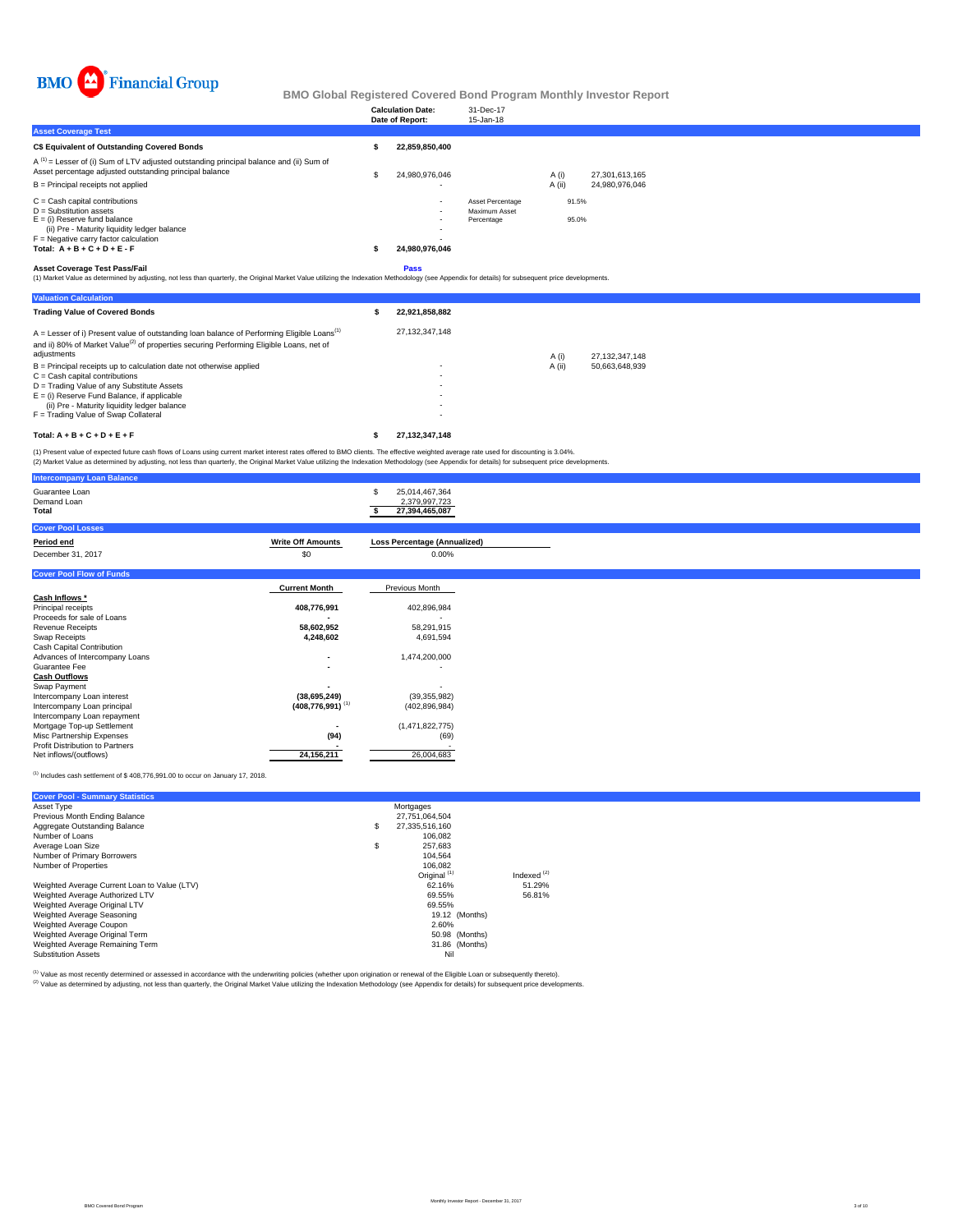

|                                                                                                                                                        | <b>Calculation Date:</b><br>Date of Report: | 31-Dec-17<br>15-Jan-18      |        |                |
|--------------------------------------------------------------------------------------------------------------------------------------------------------|---------------------------------------------|-----------------------------|--------|----------------|
| <b>Asset Coverage Test</b>                                                                                                                             |                                             |                             |        |                |
| C\$ Equivalent of Outstanding Covered Bonds                                                                                                            | 22.859.850.400                              |                             |        |                |
| $A^{(1)}$ = Lesser of (i) Sum of LTV adjusted outstanding principal balance and (ii) Sum of<br>Asset percentage adjusted outstanding principal balance | 24.980.976.046                              |                             | A (i)  | 27,301,613,165 |
| $B =$ Principal receipts not applied                                                                                                                   | ٠.                                          |                             | A (ii) | 24.980.976.046 |
| $C = Cash$ capital contributions                                                                                                                       | $\sim$                                      | Asset Percentage            | 91.5%  |                |
| $D =$ Substitution assets<br>$E =$ (i) Reserve fund balance<br>(ii) Pre - Maturity liquidity ledger balance                                            | $\sim$<br>$\overline{\phantom{a}}$          | Maximum Asset<br>Percentage | 95.0%  |                |
| $F =$ Negative carry factor calculation                                                                                                                | ٠.                                          |                             |        |                |
| Total: $A + B + C + D + E - F$                                                                                                                         | 24,980,976,046                              |                             |        |                |

**Asset Coverage Test Pass/Fail**<br>(1) Market Value as determined by adjusting, not less than quarterly, the Original Market Value utilizing the Indexation Methodology (see Appendix for details) for subsequent price developme

| <b>Valuation Calculation</b>                                                                                                                                                                                                 |                |        |                |
|------------------------------------------------------------------------------------------------------------------------------------------------------------------------------------------------------------------------------|----------------|--------|----------------|
| <b>Trading Value of Covered Bonds</b>                                                                                                                                                                                        | 22.921.858.882 |        |                |
| A = Lesser of i) Present value of outstanding loan balance of Performing Eligible Loans <sup>(1)</sup><br>and ii) 80% of Market Value <sup>(2)</sup> of properties securing Performing Eligible Loans, net of<br>adjustments | 27.132.347.148 | A (i)  | 27.132.347.148 |
| $B =$ Principal receipts up to calculation date not otherwise applied                                                                                                                                                        |                | A (ii) | 50.663.648.939 |
| $C =$ Cash capital contributions                                                                                                                                                                                             |                |        |                |
| D = Trading Value of any Substitute Assets                                                                                                                                                                                   | ۰              |        |                |
| $E =$ (i) Reserve Fund Balance, if applicable                                                                                                                                                                                |                |        |                |
| (ii) Pre - Maturity liquidity ledger balance                                                                                                                                                                                 |                |        |                |
| F = Trading Value of Swap Collateral                                                                                                                                                                                         |                |        |                |
| Total: $A + B + C + D + E + F$                                                                                                                                                                                               | 27.132.347.148 |        |                |

(1) Present value of expected future cash flows of Loans using current market interest rates offered to BMO clients. The effective weighted average rate used for discounting is 3.04%.<br>(2) Market Value as determined by adju

| <b>Intercompany Loan Balance</b>       |                                  |                                                        |
|----------------------------------------|----------------------------------|--------------------------------------------------------|
| Guarantee Loan<br>Demand Loan<br>Total |                                  | 25,014,467,364<br>S<br>2.379.997.723<br>27,394,465,087 |
| <b>Cover Pool Losses</b>               |                                  |                                                        |
| Period end                             | <b>Write Off Amounts</b>         | <b>Loss Percentage (Annualized)</b>                    |
| December 31, 2017                      | \$0                              | $0.00\%$                                               |
| <b>Cover Pool Flow of Funds</b>        |                                  |                                                        |
|                                        | <b>Current Month</b>             | Previous Month                                         |
| Cash Inflows *                         |                                  |                                                        |
| Principal receipts                     | 408,776,991                      | 402,896,984                                            |
| Proceeds for sale of Loans             |                                  |                                                        |
| Revenue Receipts                       | 58,602,952                       | 58,291,915                                             |
| Swap Receipts                          | 4,248,602                        | 4,691,594                                              |
| Cash Capital Contribution              |                                  |                                                        |
| Advances of Intercompany Loans         |                                  | 1,474,200,000                                          |
| Guarantee Fee                          |                                  |                                                        |
| <b>Cash Outflows</b>                   |                                  |                                                        |
| Swap Payment                           |                                  |                                                        |
| Intercompany Loan interest             | (38,695,249)                     | (39, 355, 982)                                         |
| Intercompany Loan principal            | $(408, 776, 991)$ <sup>(1)</sup> | (402, 896, 984)                                        |
| Intercompany Loan repayment            |                                  |                                                        |
| Mortgage Top-up Settlement             |                                  | (1,471,822,775)                                        |
| Misc Partnership Expenses              | (94)                             | (69)                                                   |
| Profit Distribution to Partners        |                                  |                                                        |
| Net inflows/(outflows)                 | 24,156,211                       | 26,004,683                                             |
|                                        |                                  |                                                        |

 $^{(1)}$  Includes cash settlement of \$408,776,991.00 to occur on January 17, 2018.

| <b>Cover Pool - Summary Statistics</b>       |                         |               |
|----------------------------------------------|-------------------------|---------------|
| Asset Type                                   | Mortgages               |               |
| Previous Month Ending Balance                | 27.751.064.504          |               |
| Aggregate Outstanding Balance                | \$<br>27.335.516.160    |               |
| Number of Loans                              | 106.082                 |               |
| Average Loan Size                            | \$<br>257.683           |               |
| Number of Primary Borrowers                  | 104.564                 |               |
| Number of Properties                         | 106.082                 |               |
|                                              | Original <sup>(1)</sup> | Indexed $(2)$ |
| Weighted Average Current Loan to Value (LTV) | 62.16%                  | 51.29%        |
| Weighted Average Authorized LTV              | 69.55%                  | 56.81%        |
| Weighted Average Original LTV                | 69.55%                  |               |
| Weighted Average Seasoning                   | 19.12 (Months)          |               |
| Weighted Average Coupon                      | 2.60%                   |               |
| Weighted Average Original Term               | 50.98 (Months)          |               |
| Weighted Average Remaining Term              | 31.86 (Months)          |               |
| <b>Substitution Assets</b>                   | Nil                     |               |

<sup>(t)</sup> Value as most recently determined or assessed in accordance with the underwriting policies (whether upon origination or renewal of the Eligible Loan or subsequently thereto).<br><sup>(2)</sup> Value as determined by adjusting, n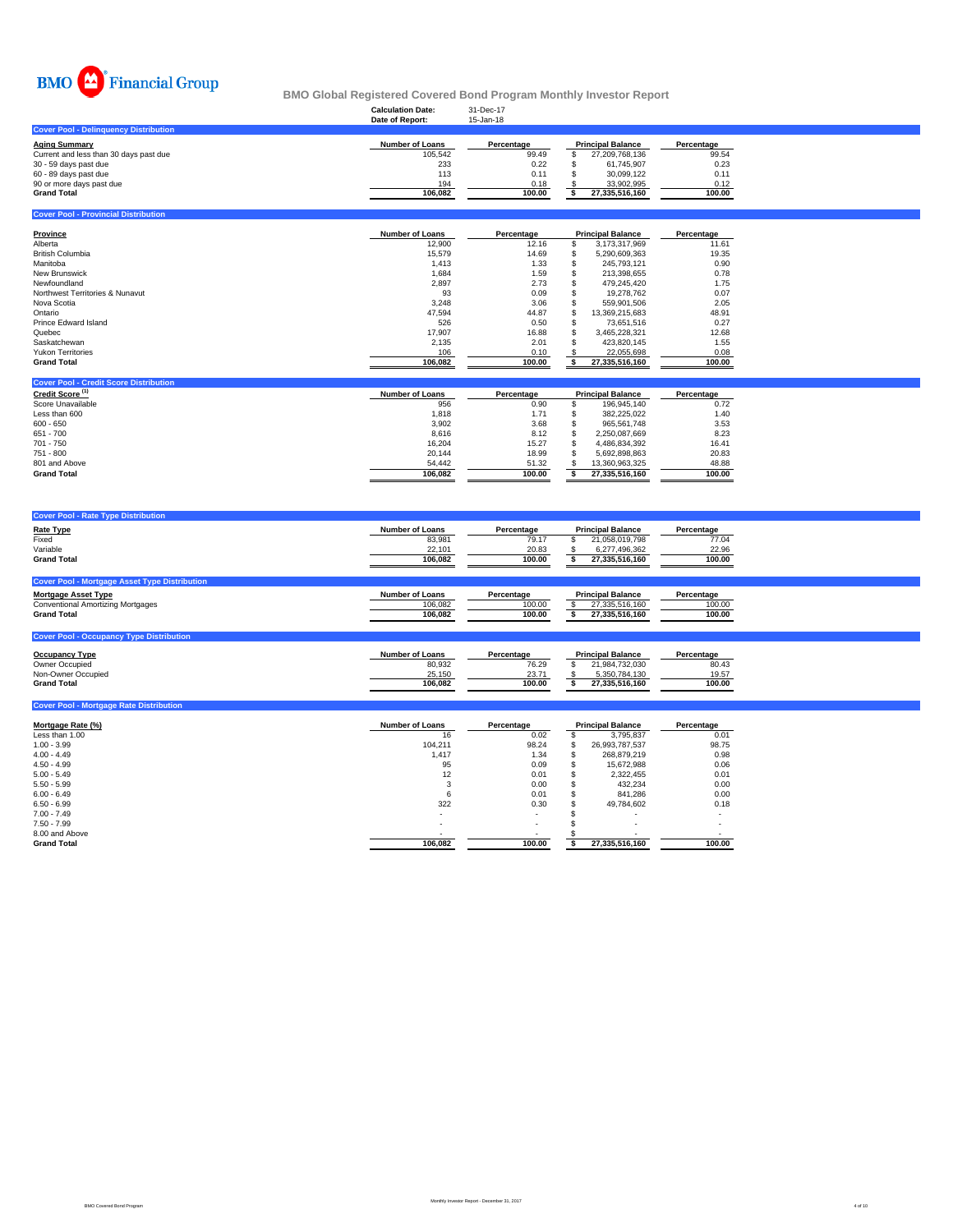

**Cover Pool - Provincial Distril** 

### **Calculation Date:** 31-Dec-17 **BMO Global Registered Covered Bond Program Monthly Investor Report**

|                                              | Date of Report: | 15-Jan-18  |                          |            |
|----------------------------------------------|-----------------|------------|--------------------------|------------|
| <b>Cover Pool - Delinguency Distribution</b> |                 |            |                          |            |
| Aging Summarv                                | Number of Loans | Percentage | <b>Principal Balance</b> | Percentage |
| Current and less than 30 days past due       | 105.542         | 99.49      | 27.209.768.136           | 99.54      |
| 30 - 59 days past due                        | 233             | 0.22       | 61.745.907               | 0.23       |
| 60 - 89 days past due                        | 113             | 0.11       | 30.099.122               | 0.11       |
| 90 or more days past due                     | 194             | 0.18       | 33.902.995               | 0.12       |
| Grand Total                                  | 106.082         | 100.00     | 27.335.516.160           | 100.00     |
|                                              |                 |            |                          |            |

| Province                        | <b>Number of Loans</b> | Percentage |   | <b>Principal Balance</b> | Percentage |  |
|---------------------------------|------------------------|------------|---|--------------------------|------------|--|
| Alberta                         | 12,900                 | 12.16      | ъ | 3,173,317,969            | 11.61      |  |
| <b>British Columbia</b>         | 15,579                 | 14.69      |   | 5.290.609.363            | 19.35      |  |
| Manitoba                        | 1.413                  | 1.33       |   | 245.793.121              | 0.90       |  |
| New Brunswick                   | 1.684                  | 1.59       |   | 213.398.655              | 0.78       |  |
| Newfoundland                    | 2.897                  | 2.73       | ж | 479.245.420              | 1.75       |  |
| Northwest Territories & Nunavut | 93                     | 0.09       |   | 19.278.762               | 0.07       |  |
| Nova Scotia                     | 3.248                  | 3.06       |   | 559.901.506              | 2.05       |  |
| Ontario                         | 47,594                 | 44.87      |   | 13.369.215.683           | 48.91      |  |
| Prince Edward Island            | 526                    | 0.50       |   | 73.651.516               | 0.27       |  |
| Quebec                          | 17.907                 | 16.88      | æ | 3.465.228.321            | 12.68      |  |
| Saskatchewan                    | 2.135                  | 2.01       |   | 423.820.145              | 1.55       |  |
| <b>Yukon Territories</b>        | 106                    | 0.10       |   | 22.055.698               | 0.08       |  |
| <b>Grand Total</b>              | 106.082                | 100.00     |   | 27.335.516.160           | 100.00     |  |

| <b>Cover Pool - Credit Score Distribution</b> |                        |            |                          |                |            |
|-----------------------------------------------|------------------------|------------|--------------------------|----------------|------------|
| Credit Score <sup>(1)</sup>                   | <b>Number of Loans</b> | Percentage | <b>Principal Balance</b> |                | Percentage |
| Score Unavailable                             | 956                    | 0.90       |                          | 196.945.140    | 0.72       |
| Less than 600                                 | 1.818                  | 1.71       |                          | 382.225.022    | 1.40       |
| $600 - 650$                                   | 3.902                  | 3.68       |                          | 965.561.748    | 3.53       |
| 651 - 700                                     | 8.616                  | 8.12       |                          | 2.250.087.669  | 8.23       |
| 701 - 750                                     | 16.204                 | 15.27      |                          | 4.486.834.392  | 16.41      |
| 751 - 800                                     | 20.144                 | 18.99      |                          | 5.692.898.863  | 20.83      |
| 801 and Above                                 | 54.442                 | 51.32      |                          | 13.360.963.325 | 48.88      |
| <b>Grand Total</b>                            | 106.082                | 100.00     |                          | 27.335.516.160 | 100.00     |

| <b>Cover Pool - Rate Type Distribution</b>                                         |                                                       |                                        |                                                                               |                                        |  |
|------------------------------------------------------------------------------------|-------------------------------------------------------|----------------------------------------|-------------------------------------------------------------------------------|----------------------------------------|--|
| <b>Rate Type</b><br>Fixed<br>Variable<br><b>Grand Total</b>                        | <b>Number of Loans</b><br>83,981<br>22,101<br>106.082 | Percentage<br>79.17<br>20.83<br>100.00 | <b>Principal Balance</b><br>21,058,019,798<br>6.277.496.362<br>27,335,516,160 | Percentage<br>77.04<br>22.96<br>100.00 |  |
| <b>Cover Pool - Mortgage Asset Type Distribution</b><br><b>Mortgage Asset Type</b> | <b>Number of Loans</b>                                | Percentage                             | <b>Principal Balance</b>                                                      | Percentage                             |  |
| <b>Conventional Amortizing Mortgages</b><br><b>Grand Total</b>                     | 106.082<br>106.082                                    | 100.00<br>100.00                       | 27,335,516,160<br>27,335,516,160                                              | 100.00<br>100.00                       |  |
| <b>Cover Pool - Occupancy Type Distribution</b>                                    |                                                       |                                        |                                                                               |                                        |  |

| <b>Occupancy Type</b> | Number of Loans | Percentage | <b>Principal Balance</b> | Percentage |
|-----------------------|-----------------|------------|--------------------------|------------|
| Owner Occupied        | 80,932          | 76.29      | 21.984.732.030           | 80.43      |
| Non-Owner Occupied    | 25.150          | 23.71      | 5.350.784.130            | 19.57      |
| <b>Grand Total</b>    | 106.082         | 100.00     | 27.335.516.160           | 100.00     |
|                       |                 |            |                          |            |

| <b>Cover Pool - Mortgage Rate Distribution</b> |                        |            |    |                          |            |
|------------------------------------------------|------------------------|------------|----|--------------------------|------------|
| Mortgage Rate (%)                              | <b>Number of Loans</b> | Percentage |    | <b>Principal Balance</b> | Percentage |
| Less than 1.00                                 | 16                     | 0.02       |    | 3,795,837                | 0.01       |
| $1.00 - 3.99$                                  | 104.211                | 98.24      | Ж, | 26.993.787.537           | 98.75      |
| $4.00 - 4.49$                                  | 1,417                  | 1.34       |    | 268.879.219              | 0.98       |
| $4.50 - 4.99$                                  | 95                     | 0.09       |    | 15,672,988               | 0.06       |
| $5.00 - 5.49$                                  | 12                     | 0.01       |    | 2,322,455                | 0.01       |
| $5.50 - 5.99$                                  | 3                      | 0.00       |    | 432,234                  | 0.00       |
| $6.00 - 6.49$                                  | 6                      | 0.01       |    | 841.286                  | 0.00       |
| $6.50 - 6.99$                                  | 322                    | 0.30       |    | 49.784.602               | 0.18       |
| $7.00 - 7.49$                                  | $\sim$                 |            |    | ۰                        |            |
| $7.50 - 7.99$                                  | $\sim$                 | ۰          |    | ۰                        |            |
| 8.00 and Above                                 |                        | ۰          |    | ۰                        |            |
| <b>Grand Total</b>                             | 106,082                | 100.00     |    | 27,335,516,160           | 100.00     |
|                                                |                        |            |    |                          |            |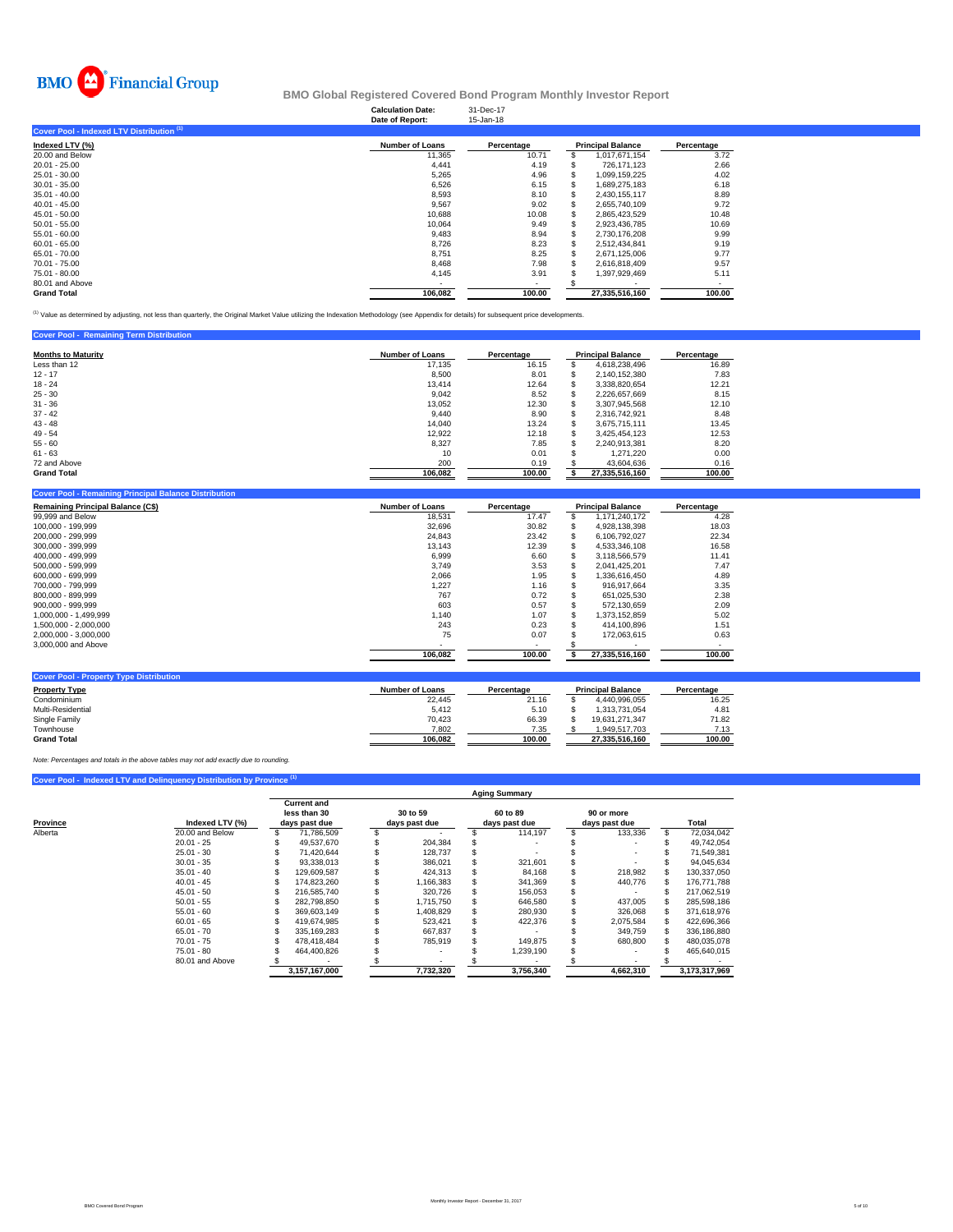

### **Calculation Date:** 31-Dec-17 **BMO Global Registered Covered Bond Program Monthly Investor Report**

|                                           | Date of Report:                      | 15-Jan-18 |                          |            |
|-------------------------------------------|--------------------------------------|-----------|--------------------------|------------|
| Cover Pool - Indexed LTV Distribution (1) |                                      |           |                          |            |
| Indexed LTV (%)                           | <b>Number of Loans</b><br>Percentage |           | <b>Principal Balance</b> | Percentage |
| 20.00 and Below                           | 11,365                               | 10.71     | 1,017,671,154            | 3.72       |
| $20.01 - 25.00$                           | 4,441                                | 4.19      | 726.171.123              | 2.66       |
| 25.01 - 30.00                             | 5,265                                | 4.96      | 1.099.159.225            | 4.02       |
| $30.01 - 35.00$                           | 6,526                                | 6.15      | 1.689.275.183            | 6.18       |
| $35.01 - 40.00$                           | 8,593                                | 8.10      | 2.430.155.117            | 8.89       |
| $40.01 - 45.00$                           | 9,567                                | 9.02      | 2.655.740.109            | 9.72       |
| $45.01 - 50.00$                           | 10,688                               | 10.08     | 2.865.423.529            | 10.48      |
| $50.01 - 55.00$                           | 10.064                               | 9.49      | 2,923,436,785            | 10.69      |
| $55.01 - 60.00$                           | 9,483                                | 8.94      | 2,730,176,208            | 9.99       |
| $60.01 - 65.00$                           | 8,726                                | 8.23      | 2.512.434.841            | 9.19       |
| 65.01 - 70.00                             | 8.751                                | 8.25      | 2.671.125.006            | 9.77       |
| 70.01 - 75.00                             | 8,468                                | 7.98      | 2,616,818,409            | 9.57       |
| 75.01 - 80.00                             | 4,145                                | 3.91      | 1,397,929,469            | 5.11       |
| 80.01 and Above                           |                                      |           |                          |            |
| <b>Grand Total</b>                        | 106,082                              | 100.00    | 27.335.516.160           | 100.00     |

<sup>(1)</sup> Value as determined by adjusting, not less than quarterly, the Original Market Value utilizing the Indexation Methodology (see Appendix for details) for subsequent price developments.

| <b>Cover Pool - Remaining Term Distribution</b> |                        |            |                          |            |
|-------------------------------------------------|------------------------|------------|--------------------------|------------|
| <b>Months to Maturity</b>                       | <b>Number of Loans</b> | Percentage | <b>Principal Balance</b> | Percentage |
| Less than 12                                    | 17.135                 | 16.15      | 4.618.238.496            | 16.89      |
| $12 - 17$                                       | 8,500                  | 8.01       | 2.140.152.380            | 7.83       |
| $18 - 24$                                       | 13.414                 | 12.64      | 3.338.820.654            | 12.21      |
| $25 - 30$                                       | 9,042                  | 8.52       | 2.226.657.669            | 8.15       |
| $31 - 36$                                       | 13.052                 | 12.30      | 3,307,945,568            | 12.10      |
| $37 - 42$                                       | 9.440                  | 8.90       | 2.316.742.921            | 8.48       |
| $43 - 48$                                       | 14.040                 | 13.24      | 3.675.715.111            | 13.45      |
| $49 - 54$                                       | 12,922                 | 12.18      | 3.425.454.123            | 12.53      |
| $55 - 60$                                       | 8,327                  | 7.85       | 2.240.913.381            | 8.20       |
| $61 - 63$                                       | 10                     | 0.01       | 1.271.220                | 0.00       |
| 72 and Above                                    | 200                    | 0.19       | 43.604.636               | 0.16       |
| <b>Grand Total</b>                              | 106,082                | 100.00     | 27.335.516.160           | 100.00     |

| <b>Remaining Principal Balance (C\$)</b> | <b>Number of Loans</b> | Percentage | <b>Principal Balance</b> | Percentage |  |
|------------------------------------------|------------------------|------------|--------------------------|------------|--|
| 99,999 and Below                         | 18,531                 | 17.47      | 1.171.240.172            | 4.28       |  |
| 100.000 - 199.999                        | 32,696                 | 30.82      | 4,928,138,398            | 18.03      |  |
| 200.000 - 299.999                        | 24,843                 | 23.42      | 6.106.792.027            | 22.34      |  |
| 300.000 - 399.999                        | 13,143                 | 12.39      | 4,533,346,108            | 16.58      |  |
| 400.000 - 499.999                        | 6,999                  | 6.60       | 3,118,566,579            | 11.41      |  |
| 500.000 - 599.999                        | 3,749                  | 3.53       | 2,041,425,201            | 7.47       |  |
| 600.000 - 699.999                        | 2,066                  | 1.95       | 1.336.616.450            | 4.89       |  |
| 700.000 - 799.999                        | 1,227                  | 1.16       | 916.917.664              | 3.35       |  |
| 800.000 - 899.999                        | 767                    | 0.72       | 651,025,530              | 2.38       |  |
| 900.000 - 999.999                        | 603                    | 0.57       | 572.130.659              | 2.09       |  |
| 1.000.000 - 1.499.999                    | 1.140                  | 1.07       | 1.373.152.859            | 5.02       |  |
| 1.500.000 - 2.000.000                    | 243                    | 0.23       | 414.100.896              | 1.51       |  |
| 2,000,000 - 3,000,000                    | 75                     | 0.07       | 172.063.615              | 0.63       |  |
| 3,000,000 and Above                      |                        |            |                          |            |  |
|                                          | 106,082                | 100.00     | 27,335,516,160           | 100.00     |  |

| <b>Property Type</b> | <b>Number of Loans</b> | Percentage | <b>Principal Balance</b> | Percentage |
|----------------------|------------------------|------------|--------------------------|------------|
| Condominium          | 22.445                 | 21.16      | 4.440.996.055            | 16.25      |
| Multi-Residential    | 5.412                  | 5.10       | 1.313.731.054            | 4.81       |
| Single Family        | 70.423                 | 66.39      | 19.631.271.347           | 71.82      |
| Townhouse            | 7.802                  | 7.35       | 1.949.517.703            | 7.13       |
| <b>Grand Total</b>   | 106.082                | 100.00     | 27.335.516.160           | 100.00     |

*Note: Percentages and totals in the above tables may not add exactly due to rounding.*

**Coverty Type Distribution** 

## **Cover Pool - Indexed LTV and Delinquency Distribution by Province**

|                     |                 | <b>Aging Summary</b> |                                                     |  |                           |   |                           |  |                             |    |               |
|---------------------|-----------------|----------------------|-----------------------------------------------------|--|---------------------------|---|---------------------------|--|-----------------------------|----|---------------|
| Province<br>Alberta | Indexed LTV (%) |                      | <b>Current and</b><br>less than 30<br>days past due |  | 30 to 59<br>days past due |   | 60 to 89<br>days past due |  | 90 or more<br>days past due |    | Total         |
|                     | 20.00 and Below |                      | 71.786.509                                          |  |                           |   | 114.197                   |  | 133.336                     | S. | 72,034,042    |
|                     | $20.01 - 25$    |                      | 49.537.670                                          |  | 204.384                   |   |                           |  |                             |    | 49.742.054    |
|                     | $25.01 - 30$    |                      | 71.420.644                                          |  | 128.737                   |   |                           |  |                             |    | 71,549,381    |
|                     | $30.01 - 35$    |                      | 93.338.013                                          |  | 386.021                   |   | 321.601                   |  |                             |    | 94.045.634    |
|                     | $35.01 - 40$    |                      | 129.609.587                                         |  | 424.313                   | S | 84.168                    |  | 218.982                     |    | 130.337.050   |
|                     | $40.01 - 45$    |                      | 174.823.260                                         |  | 1.166.383                 | s | 341,369                   |  | 440,776                     |    | 176.771.788   |
|                     | $45.01 - 50$    |                      | 216.585.740                                         |  | 320.726                   |   | 156.053                   |  |                             |    | 217.062.519   |
|                     | $50.01 - 55$    |                      | 282.798.850                                         |  | 1.715.750                 |   | 646,580                   |  | 437,005                     |    | 285,598,186   |
|                     | $55.01 - 60$    |                      | 369.603.149                                         |  | 1.408.829                 |   | 280.930                   |  | 326.068                     |    | 371.618.976   |
|                     | $60.01 - 65$    |                      | 419.674.985                                         |  | 523.421                   |   | 422.376                   |  | 2.075.584                   |    | 422.696.366   |
|                     | $65.01 - 70$    |                      | 335.169.283                                         |  | 667.837                   |   |                           |  | 349,759                     |    | 336,186,880   |
|                     | $70.01 - 75$    |                      | 478.418.484                                         |  | 785.919                   |   | 149.875                   |  | 680,800                     |    | 480.035.078   |
|                     | $75.01 - 80$    |                      | 464.400.826                                         |  |                           |   | 1,239,190                 |  |                             |    | 465.640.015   |
|                     | 80.01 and Above |                      |                                                     |  |                           |   |                           |  |                             |    |               |
|                     |                 |                      | 3.157.167.000                                       |  | 7.732.320                 |   | 3.756.340                 |  | 4.662.310                   |    | 3.173.317.969 |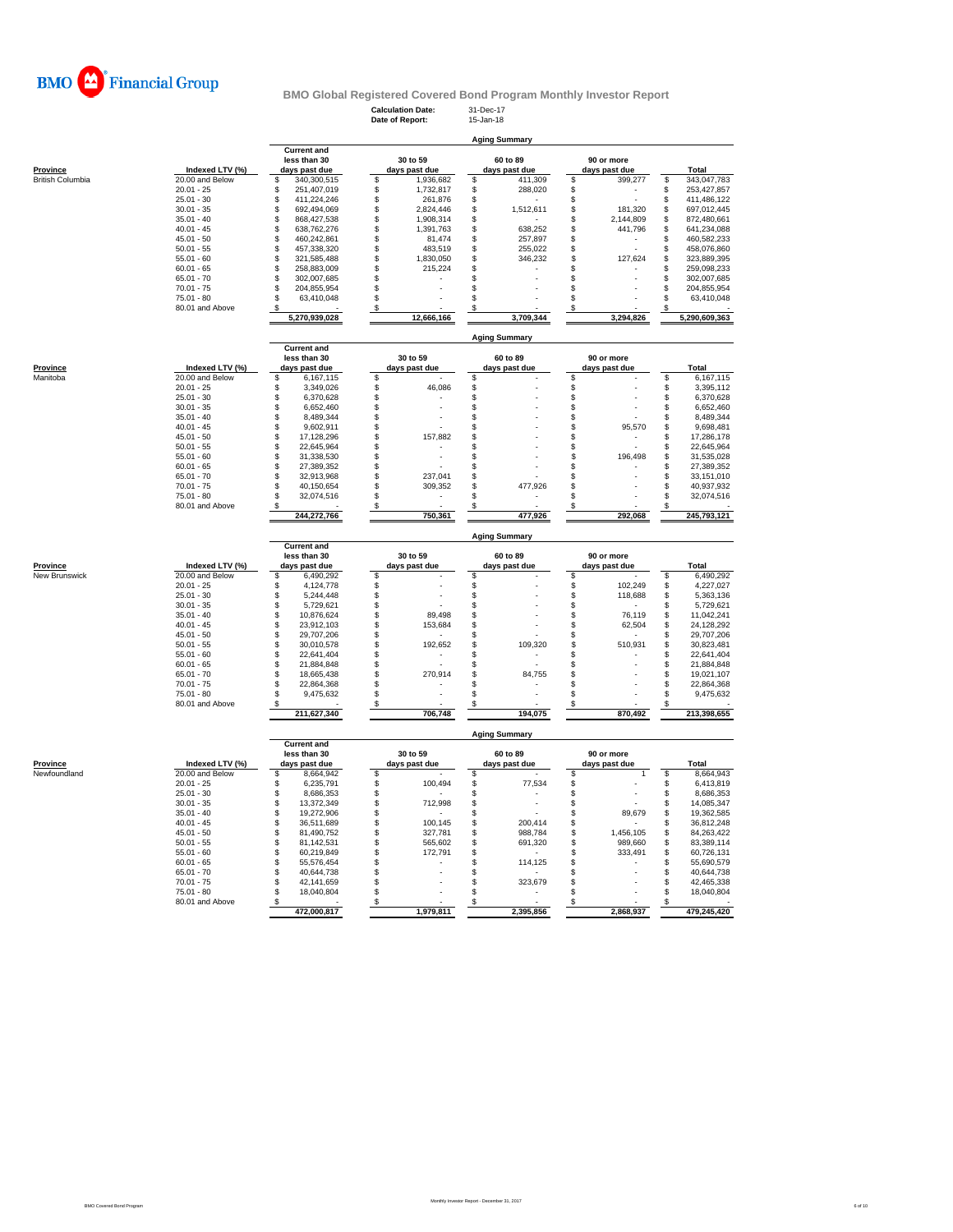

**Current and**

**Calculation Date:** 31-Dec-17 **Date of Report:** 15-Jan-18

**Aging Summary**

|                         |                               | less than 30                       |
|-------------------------|-------------------------------|------------------------------------|
| Province                | Indexed LTV (%)               | days past due                      |
| <b>British Columbia</b> | 20.00 and Below               | \$<br>340,300,515                  |
|                         | $20.01 - 25$                  | S<br>251,407,019                   |
|                         | $25.01 - 30$                  | \$<br>411,224,246                  |
|                         | $30.01 - 35$                  | S<br>692,494,069                   |
|                         |                               | \$                                 |
|                         | $35.01 - 40$                  | 868,427,538                        |
|                         | $40.01 - 45$                  | \$<br>638,762,276                  |
|                         | $45.01 - 50$                  | \$<br>460,242,861                  |
|                         | $50.01 - 55$                  | \$<br>457,338,320                  |
|                         | $55.01 - 60$                  | \$<br>321,585,488                  |
|                         | $60.01 - 65$                  | \$<br>258,883,009                  |
|                         | $65.01 - 70$                  | \$<br>302,007,685                  |
|                         | $70.01 - 75$                  | \$<br>204,855,954                  |
|                         | $75.01 - 80$                  | \$<br>63,410,048                   |
|                         | 80.01 and Above               | \$                                 |
|                         |                               | 5,270,939,028                      |
|                         |                               |                                    |
|                         |                               |                                    |
|                         |                               | <b>Current and</b>                 |
|                         |                               | less than 30                       |
| Province                | Indexed LTV (%)               | days past due                      |
| Manitoba                | 20.00 and Below               | \$<br>6,167,115                    |
|                         | $20.01 - 25$                  | 3,349,026<br>S                     |
|                         | $25.01 - 30$                  | \$<br>6,370,628                    |
|                         | $30.01 - 35$                  |                                    |
|                         | $35.01 - 40$                  | \$<br>6,652,460<br>\$<br>8,489,344 |
|                         |                               |                                    |
|                         | $40.01 - 45$                  | \$<br>9,602,911                    |
|                         | $45.01 - 50$                  | \$<br>17,128,296                   |
|                         | $50.01 - 55$                  | \$<br>22,645,964                   |
|                         | $55.01 - 60$                  | \$<br>31,338,530                   |
|                         | $60.01 - 65$                  | \$<br>27,389,352                   |
|                         | $65.01 - 70$                  | \$<br>32,913,968                   |
|                         | $70.01 - 75$                  | \$<br>40,150,654                   |
|                         | 75.01 - 80                    | \$<br>32,074,516                   |
|                         | 80.01 and Above               | \$                                 |
|                         |                               |                                    |
|                         |                               | 244,272,766                        |
|                         |                               |                                    |
|                         |                               |                                    |
|                         |                               | <b>Current and</b>                 |
|                         |                               | less than 30                       |
| Province                | Indexed LTV (%)               | days past due                      |
| New Brunswick           | 20.00 and Below               | \$<br>6,490,292                    |
|                         | $20.01 - 25$                  | \$<br>4,124,778                    |
|                         | $25.01 - 30$                  | \$<br>5,244,448                    |
|                         | $30.01 - 35$                  | \$<br>5,729,621                    |
|                         | $35.01 - 40$                  | \$<br>10,876,624                   |
|                         | $40.01 - 45$                  | \$<br>23,912,103                   |
|                         | $45.01 - 50$                  | \$<br>29,707,206                   |
|                         | $50.01 - 55$                  | \$<br>30,010,578                   |
|                         | $55.01 - 60$                  | \$<br>22,641,404                   |
|                         | $60.01 - 65$                  | \$<br>21,884,848                   |
|                         | $65.01 - 70$                  | \$<br>18,665,438                   |
|                         |                               | \$<br>22,864,368                   |
|                         | $70.01 - 75$                  |                                    |
|                         | 75.01 - 80<br>80.01 and Above | \$<br>9,475,632<br>\$              |
|                         |                               | 211,627,340                        |
|                         |                               |                                    |
|                         |                               | <b>Current and</b>                 |
|                         |                               | less than 30                       |
| <b>Province</b>         | Indexed LTV (%)               | days past due                      |
| Newfoundland            | 20.00 and Below               | \$<br>8,664,942                    |
|                         | $20.01 - 25$                  | \$<br>6,235,791                    |
|                         | 25.01 - 30                    | \$<br>8,686,353                    |
|                         | $30.01 - 35$                  | \$<br>13,372,349                   |
|                         | $35.01 - 40$                  | \$<br>19,272,906                   |
|                         | $40.01 - 45$                  | \$<br>36,511,689                   |
|                         | $45.01 - 50$                  | \$<br>81,490,752                   |
|                         | $50.01 - 55$                  | \$<br>81,142,531                   |
|                         | $55.01 - 60$                  | \$<br>60,219,849                   |
|                         | $60.01 - 65$                  | S<br>55,576,454                    |

|                  |                                  |  | less than 30  |               | 30 to 59   |               | 60 to 89             |               | 90 or more |       |               |
|------------------|----------------------------------|--|---------------|---------------|------------|---------------|----------------------|---------------|------------|-------|---------------|
| Province         | Indexed LTV (%)<br>days past due |  |               | days past due |            | days past due |                      | days past due |            | Total |               |
| British Columbia | 20.00 and Below                  |  | 340,300,515   |               | 1,936,682  |               | 411,309              |               | 399,277    |       | 343,047,783   |
|                  | $20.01 - 25$                     |  | 251,407,019   |               | 1,732,817  |               | 288,020              |               |            |       | 253,427,857   |
|                  | $25.01 - 30$                     |  | 411.224.246   |               | 261,876    |               |                      |               |            |       | 411.486.122   |
|                  | $30.01 - 35$                     |  | 692.494.069   |               | 2.824.446  |               | 1,512,611            |               | 181.320    |       | 697,012,445   |
|                  | $35.01 - 40$                     |  | 868,427,538   |               | 1,908,314  |               |                      |               | 2.144.809  |       | 872,480,661   |
|                  | $40.01 - 45$                     |  | 638.762.276   |               | 1,391,763  |               | 638,252              |               | 441.796    |       | 641,234,088   |
|                  | $45.01 - 50$                     |  | 460.242.861   |               | 81.474     |               | 257,897              |               |            |       | 460.582.233   |
|                  | $50.01 - 55$                     |  | 457.338.320   |               | 483,519    |               | 255,022              |               |            |       | 458.076.860   |
|                  | $55.01 - 60$                     |  | 321.585.488   |               | 1,830,050  |               | 346,232              |               | 127.624    |       | 323,889,395   |
|                  | $60.01 - 65$                     |  | 258.883.009   |               | 215,224    |               |                      |               |            |       | 259,098,233   |
|                  | $65.01 - 70$                     |  | 302.007.685   |               |            |               |                      |               |            |       | 302,007,685   |
|                  | $70.01 - 75$                     |  | 204.855.954   |               |            |               |                      |               |            |       | 204,855,954   |
|                  | $75.01 - 80$                     |  | 63.410.048    |               |            |               |                      |               |            |       | 63,410,048    |
|                  | 80.01 and Above                  |  |               |               |            |               |                      |               |            |       |               |
|                  |                                  |  | 5,270,939,028 |               | 12,666,166 |               | 3,709,344            |               | 3,294,826  |       | 5,290,609,363 |
|                  |                                  |  |               |               |            |               | <b>Aging Summary</b> |               |            |       |               |

|          |                 | Current and<br>less than 30 | 30 to 59      | 60 to 89      | 90 or more    |             |
|----------|-----------------|-----------------------------|---------------|---------------|---------------|-------------|
| Province | Indexed LTV (%) | days past due               | days past due | days past due | days past due | Total       |
| Manitoba | 20.00 and Below | 6,167,115                   |               |               | ۰             | 6,167,115   |
|          | $20.01 - 25$    | 3.349.026                   | 46,086        |               | ۰             | 3,395,112   |
|          | $25.01 - 30$    | 6.370.628                   |               |               |               | 6,370,628   |
|          | $30.01 - 35$    | 6.652.460                   |               |               |               | 6,652,460   |
|          | $35.01 - 40$    | 8.489.344                   |               |               |               | 8.489.344   |
|          | $40.01 - 45$    | 9.602.911                   |               |               | 95,570        | 9,698,481   |
|          | $45.01 - 50$    | 17.128.296                  | 157,882       |               |               | 17,286,178  |
|          | $50.01 - 55$    | 22.645.964                  |               |               |               | 22.645.964  |
|          | $55.01 - 60$    | 31.338.530                  |               |               | 196.498       | 31.535.028  |
|          | $60.01 - 65$    | 27.389.352                  |               |               |               | 27.389.352  |
|          | $65.01 - 70$    | 32.913.968                  | 237.041       |               |               | 33.151.010  |
|          | $70.01 - 75$    | 40.150.654                  | 309,352       | 477.926       |               | 40.937.932  |
|          | $75.01 - 80$    | 32.074.516                  |               |               | ۰             | 32.074.516  |
|          | 80.01 and Above |                             |               |               |               |             |
|          |                 | 244.272.766                 | 750.361       | 477.926       | 292.068       | 245.793.121 |

|               |                 |                                                     | <b>Aging Summary</b> |  |                           |  |                           |                             |         |  |             |  |  |  |  |  |
|---------------|-----------------|-----------------------------------------------------|----------------------|--|---------------------------|--|---------------------------|-----------------------------|---------|--|-------------|--|--|--|--|--|
| Province      | Indexed LTV (%) | <b>Current and</b><br>less than 30<br>days past due |                      |  | 30 to 59<br>days past due |  | 60 to 89<br>days past due | 90 or more<br>days past due |         |  | Total       |  |  |  |  |  |
| New Brunswick | 20.00 and Below |                                                     | 6.490.292            |  |                           |  |                           |                             |         |  | 6,490,292   |  |  |  |  |  |
|               | $20.01 - 25$    |                                                     | 4.124.778            |  |                           |  |                           |                             | 102,249 |  | 4,227,027   |  |  |  |  |  |
|               | $25.01 - 30$    |                                                     | 5.244.448            |  |                           |  |                           |                             | 118,688 |  | 5,363,136   |  |  |  |  |  |
|               | $30.01 - 35$    |                                                     | 5,729,621            |  |                           |  |                           |                             |         |  | 5,729,621   |  |  |  |  |  |
|               | $35.01 - 40$    |                                                     | 10,876,624           |  | 89,498                    |  |                           |                             | 76,119  |  | 11,042,241  |  |  |  |  |  |
|               | $40.01 - 45$    |                                                     | 23.912.103           |  | 153,684                   |  |                           |                             | 62,504  |  | 24,128,292  |  |  |  |  |  |
|               | $45.01 - 50$    |                                                     | 29.707.206           |  |                           |  |                           |                             |         |  | 29.707.206  |  |  |  |  |  |
|               | $50.01 - 55$    |                                                     | 30.010.578           |  | 192,652                   |  | 109,320                   |                             | 510,931 |  | 30,823,481  |  |  |  |  |  |
|               | $55.01 - 60$    |                                                     | 22.641.404           |  |                           |  |                           |                             |         |  | 22,641,404  |  |  |  |  |  |
|               | $60.01 - 65$    |                                                     | 21.884.848           |  |                           |  |                           |                             |         |  | 21,884,848  |  |  |  |  |  |
|               | $65.01 - 70$    |                                                     | 18.665.438           |  | 270.914                   |  | 84,755                    |                             |         |  | 19,021,107  |  |  |  |  |  |
|               | $70.01 - 75$    |                                                     | 22.864.368           |  |                           |  |                           |                             |         |  | 22.864.368  |  |  |  |  |  |
|               | $75.01 - 80$    |                                                     | 9.475.632            |  |                           |  |                           |                             |         |  | 9,475,632   |  |  |  |  |  |
|               | 80.01 and Above |                                                     |                      |  |                           |  |                           |                             |         |  |             |  |  |  |  |  |
|               |                 |                                                     | 211,627,340          |  | 706.748                   |  | 194,075                   |                             | 870.492 |  | 213,398,655 |  |  |  |  |  |

| <b>Aging Summary</b> |  |
|----------------------|--|
|                      |  |

|              |                 | less than 30  | 30 to 59      | 60 to 89      | 90 or more    |             |
|--------------|-----------------|---------------|---------------|---------------|---------------|-------------|
| Province     | Indexed LTV (%) | days past due | days past due | days past due | days past due | Total       |
| Newfoundland | 20.00 and Below | 8.664.942     |               |               |               | 8,664,943   |
|              | $20.01 - 25$    | 6,235,791     | 100.494       | 77.534        |               | 6,413,819   |
|              | $25.01 - 30$    | 8.686.353     |               |               |               | 8,686,353   |
|              | $30.01 - 35$    | 13.372.349    | 712,998       |               |               | 14,085,347  |
|              | $35.01 - 40$    | 19.272.906    |               |               | 89,679        | 19,362,585  |
|              | $40.01 - 45$    | 36.511.689    | 100.145       | 200.414       |               | 36.812.248  |
|              | $45.01 - 50$    | 81.490.752    | 327.781       | 988.784       | 1.456.105     | 84,263,422  |
|              | $50.01 - 55$    | 81.142.531    | 565,602       | 691,320       | 989.660       | 83,389,114  |
|              | $55.01 - 60$    | 60.219.849    | 172.791       |               | 333.491       | 60,726,131  |
|              | $60.01 - 65$    | 55.576.454    |               | 114.125       |               | 55,690,579  |
|              | $65.01 - 70$    | 40.644.738    |               |               |               | 40.644.738  |
|              | $70.01 - 75$    | 42.141.659    |               | 323.679       |               | 42.465.338  |
|              | $75.01 - 80$    | 18.040.804    |               |               |               | 18,040,804  |
|              | 80.01 and Above |               |               |               |               |             |
|              |                 | 472.000.817   | 1.979.811     | 2.395.856     | 2.868.937     | 479.245.420 |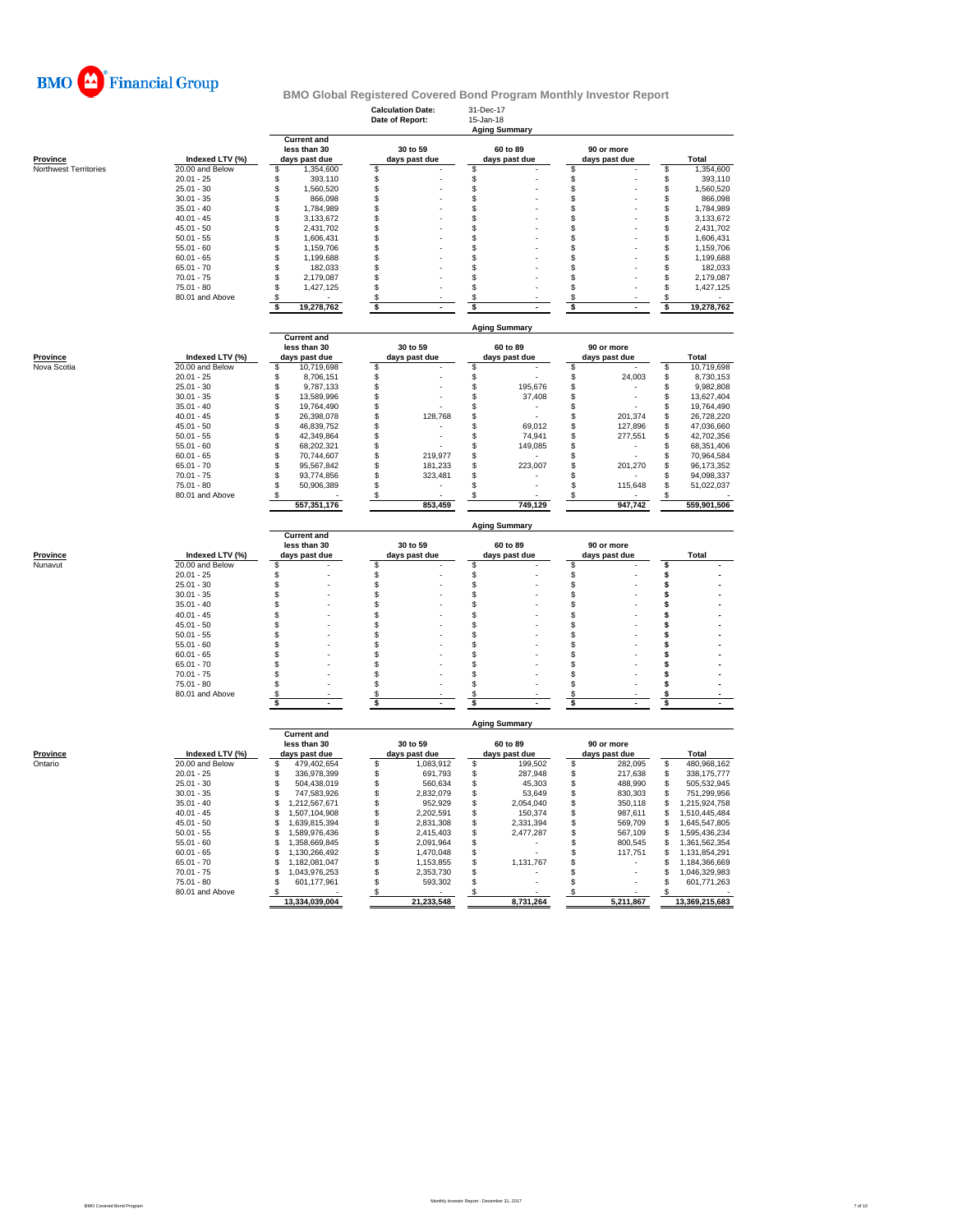

|                                |                                 |                                                     | <b>Calculation Date:</b><br>Date of Report: | 31-Dec-17<br>15-Jan-18<br><b>Aging Summary</b> |                                |                                            |
|--------------------------------|---------------------------------|-----------------------------------------------------|---------------------------------------------|------------------------------------------------|--------------------------------|--------------------------------------------|
|                                |                                 | <b>Current and</b><br>less than 30                  | 30 to 59                                    | 60 to 89                                       | 90 or more                     |                                            |
| <b>Province</b>                | Indexed LTV (%)                 | days past due                                       | days past due                               | days past due                                  | days past due                  | Total                                      |
| Northwest Territories          | 20.00 and Below<br>$20.01 - 25$ | 1,354,600<br>\$<br>\$<br>393,110                    | \$                                          | \$<br>\$                                       | $\mathfrak{s}$                 | \$<br>1,354,600                            |
|                                | $25.01 - 30$                    | \$<br>1,560,520                                     | \$<br>\$                                    | \$                                             | \$<br>$\,$                     | \$<br>393,110<br>\$<br>1,560,520           |
|                                | $30.01 - 35$                    | \$<br>866,098                                       | \$                                          | \$                                             | \$                             | \$<br>866,098                              |
|                                | $35.01 - 40$                    | \$<br>1,784,989                                     | \$                                          | \$                                             | \$                             | 1,784,989<br>S                             |
|                                | $40.01 - 45$                    | \$<br>3,133,672                                     | \$                                          | \$                                             | \$                             | 3,133,672<br>S                             |
|                                | $45.01 - 50$                    | \$<br>2,431,702                                     | \$                                          | \$                                             | \$                             | \$<br>2,431,702                            |
|                                | $50.01 - 55$                    | \$<br>1.606.431                                     | \$                                          | \$                                             | \$                             | \$<br>1,606,431                            |
|                                | $55.01 - 60$                    | \$<br>1,159,706                                     | \$                                          | \$                                             | \$                             | \$<br>1,159,706                            |
|                                | $60.01 - 65$                    | \$<br>1,199,688                                     | \$                                          | \$                                             | \$                             | S<br>1,199,688                             |
|                                | $65.01 - 70$                    | \$<br>182,033                                       | \$                                          | \$                                             | \$                             | 182,033<br>S                               |
|                                | $70.01 - 75$                    | \$<br>2,179,087                                     | \$                                          | \$                                             | \$                             | 2,179,087<br>S                             |
|                                | $75.01 - 80$<br>80.01 and Above | \$<br>1,427,125<br>\$                               | \$<br>\$                                    | \$<br>\$                                       | \$<br>\$                       | \$<br>1,427,125                            |
|                                |                                 | \$<br>19,278,762                                    | \$                                          | \$                                             | \$                             | S<br>19,278,762<br>s                       |
|                                |                                 |                                                     |                                             | <b>Aging Summary</b>                           |                                |                                            |
|                                |                                 | <b>Current and</b>                                  |                                             |                                                |                                |                                            |
|                                |                                 | less than 30                                        | 30 to 59                                    | 60 to 89                                       | 90 or more                     |                                            |
| <b>Province</b><br>Nova Scotia | Indexed LTV (%)                 | days past due                                       | days past due                               | days past due                                  | days past due                  | Total<br>\$                                |
|                                | 20.00 and Below<br>$20.01 - 25$ | 10,719,698<br>\$<br>\$<br>8,706,151                 | \$                                          | \$<br>\$                                       | \$<br>\$<br>24,003             | 10,719,698<br>8,730,153<br>S               |
|                                | $25.01 - 30$                    | \$<br>9,787,133                                     | \$<br>\$                                    | \$<br>195,676                                  | \$                             | 9,982,808<br>\$                            |
|                                | $30.01 - 35$                    | \$<br>13,589,996                                    | \$                                          | \$<br>37,408                                   | \$<br>÷,                       | \$<br>13,627,404                           |
|                                | $35.01 - 40$                    | \$<br>19.764.490                                    | $\,$                                        | \$                                             | \$                             | 19,764,490<br>S                            |
|                                | $40.01 - 45$                    | \$<br>26,398,078                                    | \$<br>128,768                               | \$                                             | \$<br>201,374                  | 26,728,220<br>\$                           |
|                                | $45.01 - 50$                    | \$<br>46,839,752                                    | \$                                          | \$<br>69,012                                   | \$<br>127,896                  | \$<br>47,036,660                           |
|                                | $50.01 - 55$                    | \$<br>42,349,864                                    | \$                                          | \$<br>74,941                                   | \$<br>277,551                  | 42,702,356<br>S                            |
|                                | $55.01 - 60$                    | \$<br>68,202,321                                    | \$                                          | \$<br>149,085                                  | \$                             | 68,351,406<br>S                            |
|                                | $60.01 - 65$                    | \$<br>70.744.607                                    | \$<br>219,977                               | \$                                             | \$                             | S<br>70,964,584                            |
|                                | $65.01 - 70$                    | \$<br>95,567,842                                    | \$<br>181,233                               | \$<br>223,007                                  | \$<br>201,270                  | 96,173,352<br>S                            |
|                                | $70.01 - 75$<br>$75.01 - 80$    | \$<br>93,774,856<br>\$                              | \$<br>323,481<br>\$                         | \$<br>£.                                       | \$<br>\$                       | 94,098,337<br>S<br>\$                      |
|                                | 80.01 and Above                 | 50,906,389                                          | \$                                          |                                                | 115,648<br>\$                  | 51,022,037                                 |
|                                |                                 | 557,351,176                                         | 853,459                                     | 749,129                                        | 947,742                        | 559,901,506                                |
|                                |                                 |                                                     |                                             |                                                |                                |                                            |
|                                |                                 |                                                     |                                             | <b>Aging Summary</b>                           |                                |                                            |
| Province                       | Indexed LTV (%)                 | <b>Current and</b><br>less than 30<br>days past due | 30 to 59                                    | 60 to 89                                       | 90 or more<br>days past due    | <b>Total</b>                               |
| Nunavut                        | 20.00 and Below                 | \$                                                  | days past due<br>\$                         | days past due<br>\$                            | \$                             | \$                                         |
|                                | $20.01 - 25$                    | \$                                                  | $\,$                                        | \$                                             | \$                             | \$                                         |
|                                | $25.01 - 30$                    | \$                                                  | \$                                          | \$                                             | \$                             | \$                                         |
|                                | $30.01 - 35$                    | \$                                                  | \$                                          | \$                                             | \$                             | \$                                         |
|                                | $35.01 - 40$                    | \$                                                  | \$                                          | \$                                             | \$                             | \$                                         |
|                                | $40.01 - 45$                    | \$                                                  | \$                                          | \$                                             | \$                             | \$                                         |
|                                | $45.01 - 50$                    | \$                                                  | \$                                          | \$                                             | \$                             | \$                                         |
|                                | $50.01 - 55$                    | \$                                                  | \$                                          | \$                                             | \$                             | \$                                         |
|                                | $55.01 - 60$<br>$60.01 - 65$    | \$                                                  | \$                                          | \$                                             | \$                             | \$<br>S                                    |
|                                | $65.01 - 70$                    | \$<br>\$                                            | \$<br>\$                                    | \$<br>\$                                       | \$<br>\$                       | \$                                         |
|                                | $70.01 - 75$                    | \$                                                  | \$                                          | \$                                             | \$                             | \$                                         |
|                                | $75.01 - 80$                    | \$                                                  | \$                                          | \$                                             | \$                             | \$                                         |
|                                | 80.01 and Above                 | \$                                                  | S                                           | S                                              | \$                             | s                                          |
|                                |                                 | \$                                                  | \$                                          | \$                                             | \$                             | \$                                         |
|                                |                                 |                                                     |                                             | <b>Aging Summary</b>                           |                                |                                            |
|                                |                                 | <b>Current and</b><br>less than 30                  | 30 to 59                                    | 60 to 89                                       | 90 or more                     |                                            |
| Province                       | Indexed LTV (%)                 | days past due                                       | days past due                               | days past due                                  | days past due                  | <b>Total</b>                               |
| Ontario                        | 20.00 and Below                 | \$<br>479,402,654                                   | \$<br>1,083,912                             | \$<br>199,502                                  | \$<br>282,095                  | \$<br>480,968,162                          |
|                                | $20.01 - 25$                    | 336,978,399<br>\$                                   | 691,793<br>\$                               | 287,948<br>\$                                  | 217,638<br>\$                  | 338,175,777<br>\$                          |
|                                | $25.01 - 30$                    | 504,438,019<br>\$                                   | \$<br>560,634                               | \$<br>45,303                                   | \$<br>488,990                  | \$<br>505,532,945                          |
|                                | $30.01 - 35$                    | $\mathbf{s}$<br>747,583,926                         | \$<br>2,832,079                             | \$<br>53,649                                   | \$<br>830,303                  | \$<br>751,299,956                          |
|                                | $35.01 - 40$<br>$40.01 - 45$    | \$<br>1,212,567,671<br>\$<br>1,507,104,908          | \$<br>952,929<br>\$<br>2,202,591            | \$<br>2,054,040<br>\$<br>150,374               | \$<br>350,118<br>\$<br>987,611 | \$<br>1,215,924,758<br>\$<br>1,510,445,484 |
|                                | $45.01 - 50$                    | $\mathbf{s}$<br>1,639,815,394                       | \$<br>2,831,308                             | \$<br>2,331,394                                | \$<br>569,709                  | \$<br>1,645,547,805                        |
|                                | $50.01 - 55$                    | \$<br>1,589,976,436                                 | \$<br>2,415,403                             | \$<br>2,477,287                                | \$<br>567,109                  | 1,595,436,234<br>\$                        |
|                                | $55.01 - 60$                    | \$<br>1,358,669,845                                 | \$<br>2,091,964                             | \$                                             | \$<br>800,545                  | \$<br>1,361,562,354                        |
|                                | $60.01 - 65$                    | 1,130,266,492<br>$\mathbf{s}$                       | \$<br>1,470,048                             | \$                                             | \$<br>117,751                  | 1,131,854,291<br>\$.                       |
|                                | $65.01 - 70$                    | \$<br>1,182,081,047                                 | \$<br>1,153,855                             | \$<br>1,131,767                                | \$                             | 1,184,366,669<br>\$                        |
|                                | $70.01 - 75$                    | £.<br>1.043.976.253                                 | \$<br>2,353,730                             | \$                                             | \$                             | \$<br>1.046.329.983                        |
|                                | $75.01 - 80$                    | 601,177,961<br>\$                                   | \$<br>593,302                               | \$                                             | \$                             | 601,771,263<br>S                           |
|                                | 80.01 and Above                 | -S<br>13,334,039,004                                | \$<br>21,233,548                            | 8,731,264                                      | \$<br>5,211,867                | S<br>13,369,215,683                        |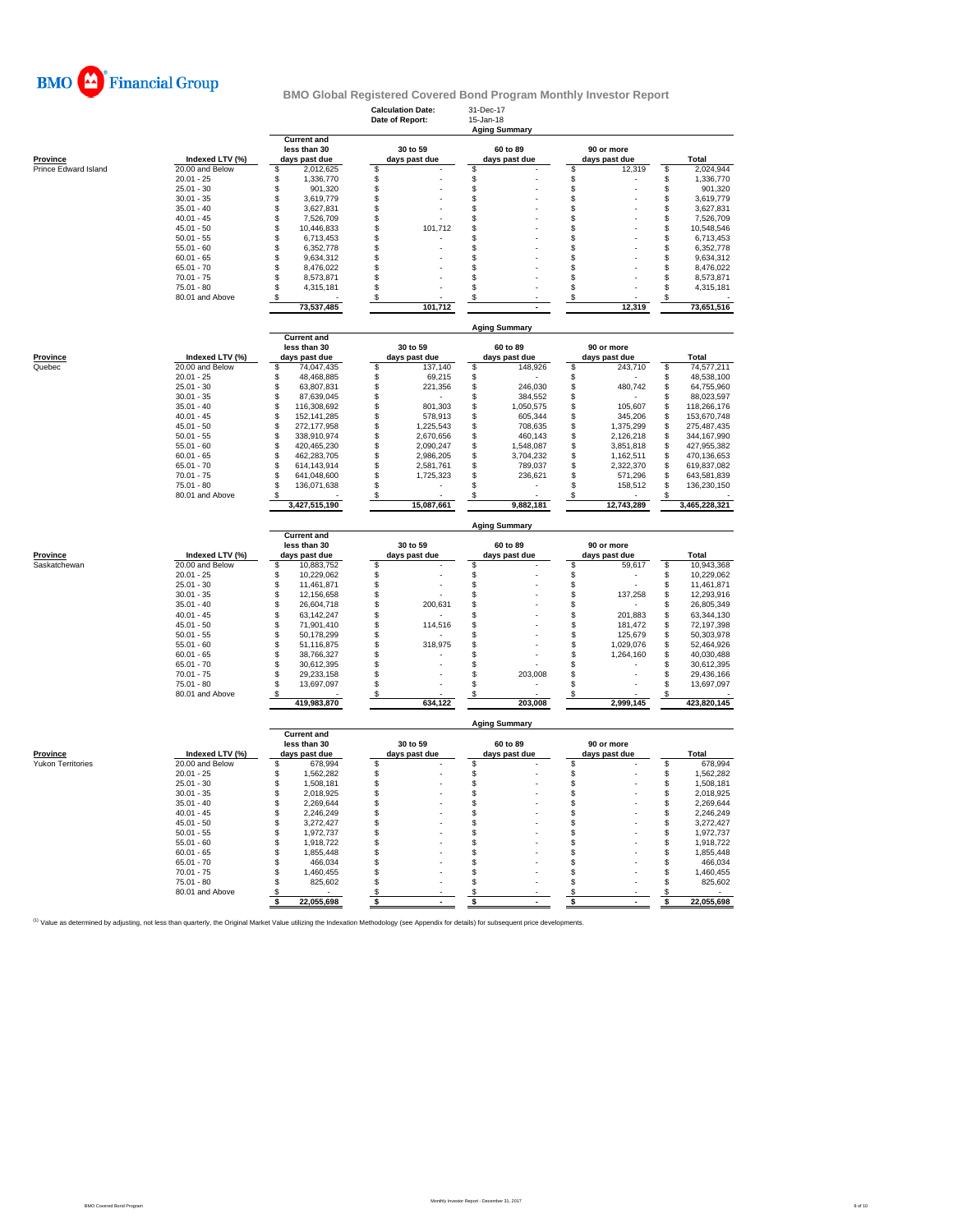

|                          |                                 |                                                     | <b>Calculation Date:</b><br>Date of Report: | 31-Dec-17<br>15-Jan-18<br><b>Aging Summary</b> |                                  |                                      |
|--------------------------|---------------------------------|-----------------------------------------------------|---------------------------------------------|------------------------------------------------|----------------------------------|--------------------------------------|
| Province                 | Indexed LTV (%)                 | <b>Current and</b><br>less than 30<br>days past due | 30 to 59<br>days past due                   | 60 to 89<br>days past due                      | 90 or more<br>days past due      | Total                                |
| Prince Edward Island     | 20.00 and Below                 | \$<br>2,012,625                                     | \$                                          | \$                                             | \$<br>12,319                     | \$<br>2,024,944                      |
|                          | $20.01 - 25$                    | \$<br>1,336,770                                     | \$                                          | \$                                             | \$                               | \$<br>1,336,770                      |
|                          | $25.01 - 30$                    | \$<br>901,320                                       | \$                                          | \$                                             | \$                               | \$<br>901,320                        |
|                          | $30.01 - 35$                    | $\mathsf{\$}$<br>3,619,779                          | \$                                          | \$                                             | \$                               | \$<br>3,619,779                      |
|                          | $35.01 - 40$                    | \$<br>3,627,831                                     | \$                                          | \$                                             | \$                               | \$<br>3,627,831                      |
|                          | $40.01 - 45$                    | \$<br>7,526,709                                     | £.                                          | \$                                             | \$                               | \$<br>7,526,709                      |
|                          | $45.01 - 50$                    | \$<br>10,446,833                                    | 101,712<br>\$                               | \$                                             | \$                               | \$<br>10,548,546                     |
|                          | $50.01 - 55$<br>$55.01 - 60$    | \$<br>6,713,453<br>$\mathsf{\$}$                    | \$<br>\$                                    | \$<br>\$                                       | \$<br>\$                         | \$<br>6,713,453<br>\$                |
|                          | $60.01 - 65$                    | 6,352,778<br>\$                                     | \$                                          | \$                                             | \$                               | 6,352,778<br>\$                      |
|                          | $65.01 - 70$                    | 9,634,312<br>\$<br>8,476,022                        | \$                                          | \$                                             | \$                               | 9,634,312<br>\$<br>8,476,022         |
|                          | $70.01 - 75$                    | \$<br>8,573,871                                     | £.                                          | \$                                             | \$                               | \$<br>8.573.871                      |
|                          | $75.01 - 80$                    | \$<br>4,315,181                                     | \$                                          | \$                                             | \$                               | \$<br>4,315,181                      |
|                          | 80.01 and Above                 | \$                                                  | \$                                          | \$                                             | \$                               | \$                                   |
|                          |                                 | 73,537,485                                          | 101,712                                     |                                                | 12,319                           | 73,651,516                           |
|                          |                                 | <b>Current and</b>                                  |                                             | <b>Aging Summary</b>                           |                                  |                                      |
|                          |                                 | less than 30                                        | 30 to 59                                    | 60 to 89                                       | 90 or more                       |                                      |
| <b>Province</b>          | Indexed LTV (%)                 | days past due                                       | days past due                               | days past due                                  | days past due                    | <b>Total</b>                         |
| Quebec                   | 20.00 and Below                 | \$<br>74,047,435                                    | \$<br>137,140                               | \$<br>148,926                                  | \$<br>243,710                    | \$<br>74,577,211                     |
|                          | $20.01 - 25$                    | $\mathsf{\$}$<br>48,468,885                         | \$<br>69,215                                | \$                                             | \$                               | \$<br>48,538,100                     |
|                          | $25.01 - 30$                    | \$<br>63,807,831                                    | \$<br>221,356                               | \$<br>246,030                                  | \$<br>480,742                    | \$<br>64,755,960                     |
|                          | $30.01 - 35$                    | \$<br>87,639,045                                    | \$                                          | \$<br>384,552                                  | \$                               | \$<br>88,023,597                     |
|                          | $35.01 - 40$                    | \$<br>116,308,692                                   | \$<br>801,303                               | \$<br>1,050,575                                | 105,607<br>\$                    | \$<br>118,266,176                    |
|                          | $40.01 - 45$                    | \$<br>152, 141, 285                                 | \$<br>578,913                               | \$<br>605,344                                  | \$<br>345,206                    | \$<br>153,670,748                    |
|                          | $45.01 - 50$                    | \$<br>272,177,958                                   | \$<br>1,225,543                             | \$<br>708,635                                  | \$<br>1,375,299                  | \$<br>275,487,435                    |
|                          | $50.01 - 55$                    | \$<br>338,910,974                                   | \$<br>2,670,656                             | \$<br>460,143                                  | \$<br>2,126,218                  | \$<br>344,167,990                    |
|                          | $55.01 - 60$                    | \$<br>420,465,230                                   | \$<br>2,090,247                             | \$<br>1,548,087                                | \$<br>3,851,818                  | \$<br>427,955,382                    |
|                          | $60.01 - 65$<br>$65.01 - 70$    | \$<br>462,283,705<br>\$<br>614,143,914              | \$<br>2,986,205<br>2,581,761                | \$<br>3,704,232<br>789,037                     | \$<br>1,162,511                  | \$<br>470,136,653<br>619,837,082     |
|                          | $70.01 - 75$                    | \$<br>641,048,600                                   | \$<br>\$<br>1,725,323                       | \$<br>\$<br>236,621                            | \$<br>2,322,370<br>\$<br>571,296 | \$<br>\$<br>643,581,839              |
|                          | $75.01 - 80$                    | \$<br>136,071,638                                   | \$                                          | \$                                             | \$<br>158,512                    | \$<br>136,230,150                    |
|                          | 80.01 and Above                 | 3,427,515,190                                       | S                                           |                                                | \$<br>12,743,289                 | S                                    |
|                          |                                 |                                                     | 15,087,661                                  | 9,882,181                                      |                                  | 3,465,228,321                        |
|                          |                                 | <b>Current and</b><br>less than 30                  | 30 to 59                                    | <b>Aging Summary</b><br>60 to 89               | 90 or more                       |                                      |
| Province                 | Indexed LTV (%)                 | days past due                                       | days past due                               | days past due                                  | days past due                    | Total                                |
| Saskatchewan             | 20.00 and Below                 | \$<br>10,883,752                                    | \$                                          | \$                                             | \$<br>59,617                     | 10,943,368<br>\$                     |
|                          | $20.01 - 25$                    | \$<br>10,229,062                                    | \$                                          | \$                                             | \$                               | \$<br>10,229,062                     |
|                          | $25.01 - 30$                    | \$<br>11,461,871                                    | \$                                          | \$                                             | \$                               | \$<br>11,461,871                     |
|                          | $30.01 - 35$                    | \$<br>12,156,658                                    | \$                                          | \$                                             | \$<br>137,258                    | 12,293,916<br>\$                     |
|                          | $35.01 - 40$                    | \$<br>26,604,718                                    | \$<br>200,631                               | \$                                             | \$                               | \$<br>26,805,349                     |
|                          | $40.01 - 45$                    | $\mathsf{\$}$<br>63.142.247                         | \$.                                         | \$                                             | \$<br>201,883                    | \$<br>63,344,130                     |
|                          | $45.01 - 50$                    | \$<br>71,901,410                                    | \$<br>114,516                               | \$                                             | \$<br>181,472                    | \$<br>72,197,398                     |
|                          | $50.01 - 55$                    | \$<br>50,178,299                                    | \$                                          | \$                                             | \$<br>125,679                    | \$<br>50,303,978                     |
|                          | $55.01 - 60$                    | \$<br>51,116,875                                    | 318,975<br>S                                | \$                                             | \$<br>1,029,076<br>\$            | \$<br>52,464,926                     |
|                          | $60.01 - 65$                    | \$<br>38,766,327                                    | \$<br>\$                                    | \$<br>\$                                       | 1,264,160<br>\$                  | \$<br>40,030,488                     |
|                          | 65.01 - 70<br>$70.01 - 75$      | \$<br>30,612,395<br>\$<br>29,233,158                | \$                                          | \$<br>203,008                                  | \$                               | \$<br>30,612,395<br>\$<br>29,436,166 |
|                          | $75.01 - 80$                    | \$<br>13,697,097                                    | \$                                          | \$                                             | \$                               | \$<br>13,697,097                     |
|                          | 80.01 and Above                 | S<br>419,983,870                                    | \$<br>634.122                               | \$<br>203.008                                  | \$<br>2.999.145                  | \$<br>423,820,145                    |
|                          |                                 |                                                     |                                             |                                                |                                  |                                      |
|                          |                                 | <b>Current and</b>                                  |                                             | <b>Aging Summary</b>                           |                                  |                                      |
| Province                 | Indexed LTV (%)                 | less than 30<br>days past due                       | 30 to 59<br>days past due                   | 60 to 89                                       | 90 or more                       | Total                                |
| <b>Yukon Territories</b> | 20.00 and Below                 | \$.<br>678,994                                      | \$                                          | days past due<br>\$                            | days past due<br>\$              | 678,994<br>\$                        |
|                          | $20.01 - 25$                    | \$<br>1,562,282                                     | $\dot{\$}$                                  | \$                                             | \$                               | \$<br>1,562,282                      |
|                          | $25.01 - 30$                    | \$<br>1,508,181                                     | \$                                          | \$                                             | \$                               | \$<br>1,508,181                      |
|                          | $30.01 - 35$                    | \$<br>2,018,925                                     | \$                                          | \$                                             | \$                               | \$<br>2,018,925                      |
|                          | $35.01 - 40$                    | \$<br>2,269,644                                     | \$                                          | \$                                             | \$                               | \$<br>2,269,644                      |
|                          | $40.01 - 45$                    | \$<br>2,246,249                                     | \$                                          | \$                                             | \$                               | \$<br>2,246,249                      |
|                          | $45.01 - 50$                    | \$<br>3,272,427                                     | \$                                          | \$                                             | \$                               | \$<br>3,272,427                      |
|                          | $50.01 - 55$                    | \$<br>1,972,737                                     | \$                                          | \$                                             | \$                               | \$<br>1,972,737                      |
|                          | $55.01 - 60$                    | \$<br>1,918,722                                     | \$                                          | \$                                             | \$                               | \$<br>1,918,722                      |
|                          | $60.01 - 65$                    | $\mathsf{\$}$<br>1,855,448                          | \$.                                         | \$                                             | \$                               | \$<br>1,855,448                      |
|                          | $65.01 - 70$                    | \$<br>466,034                                       | \$                                          | \$                                             | \$                               | \$<br>466,034                        |
|                          | $70.01 - 75$                    | \$<br>1,460,455                                     | \$                                          | \$                                             | \$                               | \$<br>1,460,455                      |
|                          | $75.01 - 80$<br>80.01 and Above | \$<br>825,602<br>\$                                 | \$<br>S                                     | \$<br>S                                        | \$<br>\$                         | \$<br>825,602<br>\$                  |
|                          |                                 | 22,055,698<br>- \$                                  | \$                                          | \$                                             | \$<br>$\blacksquare$             | 22,055,698<br>\$                     |

<sup>(1)</sup> Value as determined by adjusting, not less than quarterly, the Original Market Value utilizing the Indexation Methodology (see Appendix for details) for subsequent price developments.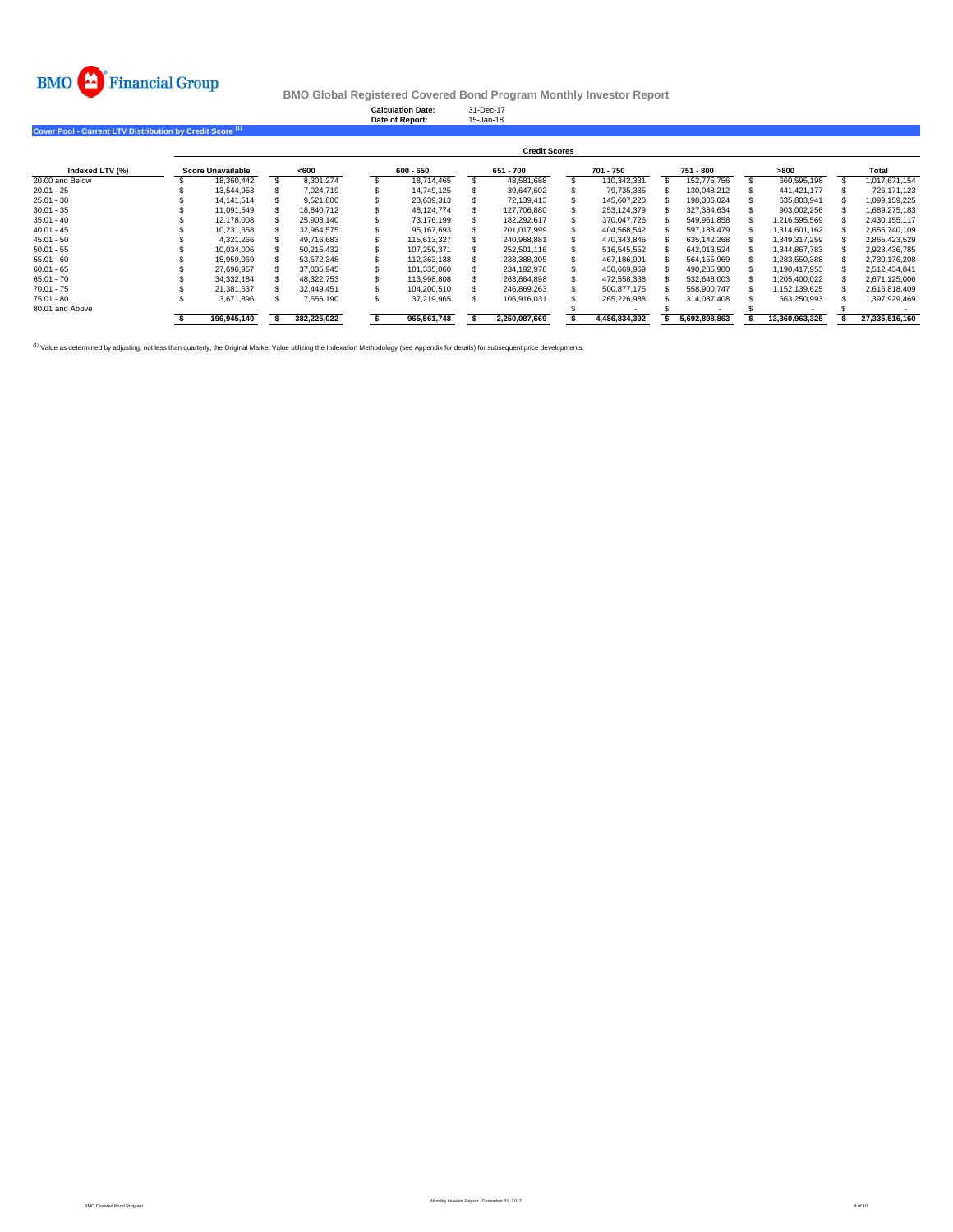

**Calculation Date:** 31-Dec-17 **Date of Report:** 15-Jan-18

**Cover Pool - Current LTV Distribution by Credit Score (1)**

|                 |                   | <b>Credit Scores</b> |      |             |  |             |  |               |  |               |  |               |  |                |  |                |  |
|-----------------|-------------------|----------------------|------|-------------|--|-------------|--|---------------|--|---------------|--|---------------|--|----------------|--|----------------|--|
| Indexed LTV (%) | Score Unavailable |                      | <600 |             |  | 600 - 650   |  | 651 - 700     |  | 701 - 750     |  | 751 - 800     |  | >800           |  | Total          |  |
| 20.00 and Below |                   | 18.360.442           |      | 8.301.274   |  | 18.714.465  |  | 48.581.688    |  | 110.342.331   |  | 152.775.756   |  | 660.595.198    |  | 1.017.671.154  |  |
| $20.01 - 25$    |                   | 13.544.953           |      | 7.024.719   |  | 14.749.125  |  | 39.647.602    |  | 79,735,335    |  | 130.048.212   |  | 441.421.177    |  | 726.171.123    |  |
| $25.01 - 30$    |                   | 14.141.514           |      | 9.521.800   |  | 23.639.313  |  | 72.139.413    |  | 145.607.220   |  | 198.306.024   |  | 635.803.941    |  | 1.099.159.225  |  |
| $30.01 - 35$    |                   | 11.091.549           |      | 18.840.712  |  | 48.124.774  |  | 127.706.880   |  | 253.124.379   |  | 327,384,634   |  | 903.002.256    |  | 1.689.275.183  |  |
| $35.01 - 40$    |                   | 12.178.008           |      | 25.903.140  |  | 73.176.199  |  | 182.292.617   |  | 370.047.726   |  | 549.961.858   |  | 1.216.595.569  |  | 2.430.155.117  |  |
| $40.01 - 45$    |                   | 10.231.658           |      | 32.964.575  |  | 95.167.693  |  | 201.017.999   |  | 404.568.542   |  | 597.188.479   |  | 1.314.601.162  |  | 2.655.740.109  |  |
| $45.01 - 50$    |                   | 4.321.266            |      | 49.716.683  |  | 115.613.327 |  | 240.968.881   |  | 470.343.846   |  | 635.142.268   |  | 1.349.317.259  |  | 2.865.423.529  |  |
| $50.01 - 55$    |                   | 10.034.006           |      | 50.215.432  |  | 107.259.371 |  | 252.501.116   |  | 516.545.552   |  | 642.013.524   |  | 1.344.867.783  |  | 2.923.436.785  |  |
| $55.01 - 60$    |                   | 15.959.069           |      | 53.572.348  |  | 112.363.138 |  | 233.388.305   |  | 467.186.991   |  | 564.155.969   |  | 1.283.550.388  |  | 2.730.176.208  |  |
| $60.01 - 65$    |                   | 27.696.957           |      | 37.835.945  |  | 101.335.060 |  | 234.192.978   |  | 430.669.969   |  | 490.285.980   |  | 1.190.417.953  |  | 2.512.434.841  |  |
| $65.01 - 70$    |                   | 34.332.184           |      | 48.322.753  |  | 113.998.808 |  | 263.864.898   |  | 472.558.338   |  | 532.648.003   |  | 1.205.400.022  |  | 2.671.125.006  |  |
| $70.01 - 75$    |                   | 21.381.637           |      | 32.449.451  |  | 104.200.510 |  | 246.869.263   |  | 500.877.175   |  | 558.900.747   |  | 1.152.139.625  |  | 2,616,818,409  |  |
| $75.01 - 80$    |                   | 3,671,896            |      | 7,556,190   |  | 37,219,965  |  | 106,916,031   |  | 265,226,988   |  | 314.087.408   |  | 663,250,993    |  | 1,397,929,469  |  |
| 80.01 and Above |                   |                      |      |             |  |             |  |               |  |               |  |               |  |                |  |                |  |
|                 |                   | 196,945,140          |      | 382,225,022 |  | 965,561,748 |  | 2,250,087,669 |  | 4,486,834,392 |  | 5,692,898,863 |  | 13,360,963,325 |  | 27,335,516,160 |  |

<sup>(1)</sup> Value as determined by adjusting, not less than quarterly, the Original Market Value utilizing the Indexation Methodology (see Appendix for details) for subsequent price developments.